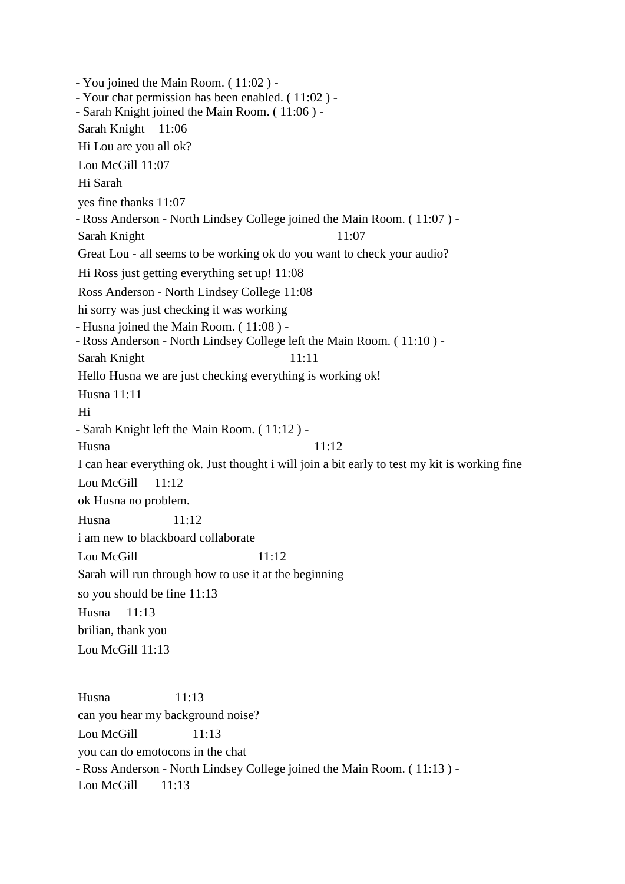- You joined the Main Room. ( 11:02 ) - - Your chat permission has been enabled. ( 11:02 ) - - Sarah Knight joined the Main Room. ( 11:06 ) - Sarah Knight 11:06 Hi Lou are you all ok? Lou McGill 11:07 Hi Sarah yes fine thanks 11:07 - Ross Anderson - North Lindsey College joined the Main Room. ( 11:07 ) - Sarah Knight 11:07 Great Lou - all seems to be working ok do you want to check your audio? Hi Ross just getting everything set up! 11:08 Ross Anderson - North Lindsey College 11:08 hi sorry was just checking it was working - Husna joined the Main Room. ( 11:08 ) - - Ross Anderson - North Lindsey College left the Main Room. ( 11:10 ) - Sarah Knight 11:11 Hello Husna we are just checking everything is working ok! Husna 11:11 Hi - Sarah Knight left the Main Room. ( 11:12 ) - Husna 11:12 I can hear everything ok. Just thought i will join a bit early to test my kit is working fine Lou McGill 11:12 ok Husna no problem. Husna 11:12 i am new to blackboard collaborate Lou McGill 11:12 Sarah will run through how to use it at the beginning so you should be fine 11:13 Husna 11:13 brilian, thank you Lou McGill 11:13 Husna 11:13 can you hear my background noise? Lou McGill  $11:13$ 

you can do emotocons in the chat

- Ross Anderson - North Lindsey College joined the Main Room. ( 11:13 ) - Lou McGill 11:13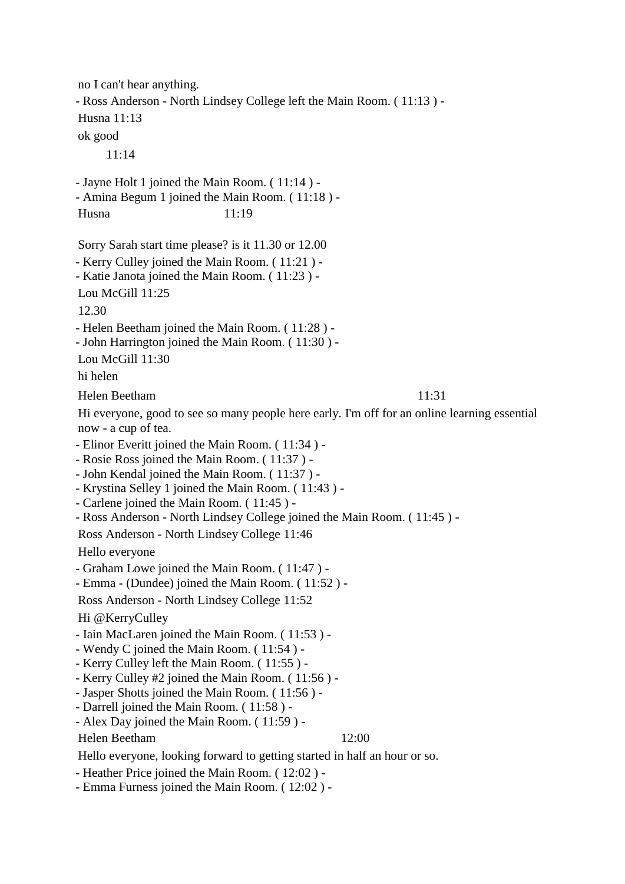no I can't hear anything. - Ross Anderson - North Lindsey College left the Main Room. ( 11:13 ) - Husna 11:13 ok good 11:14 - Jayne Holt 1 joined the Main Room. ( 11:14 ) - - Amina Begum 1 joined the Main Room. ( 11:18 ) - Husna 11:19 Sorry Sarah start time please? is it 11.30 or 12.00 - Kerry Culley joined the Main Room. ( 11:21 ) - - Katie Janota joined the Main Room. ( 11:23 ) - Lou McGill 11:25 12.30 - Helen Beetham joined the Main Room. ( 11:28 ) - - John Harrington joined the Main Room. ( 11:30 ) - Lou McGill 11:30 hi helen Helen Beetham 11:31 Hi everyone, good to see so many people here early. I'm off for an online learning essential now - a cup of tea. - Elinor Everitt joined the Main Room. ( 11:34 ) - - Rosie Ross joined the Main Room. ( 11:37 ) - - John Kendal joined the Main Room. ( 11:37 ) - - Krystina Selley 1 joined the Main Room. ( 11:43 ) - - Carlene joined the Main Room. ( 11:45 ) - - Ross Anderson - North Lindsey College joined the Main Room. ( 11:45 ) - Ross Anderson - North Lindsey College 11:46 Hello everyone - Graham Lowe joined the Main Room. ( 11:47 ) - - Emma - (Dundee) joined the Main Room. ( 11:52 ) - Ross Anderson - North Lindsey College 11:52 Hi @KerryCulley - Iain MacLaren joined the Main Room. ( 11:53 ) - - Wendy C joined the Main Room. ( 11:54 ) - - Kerry Culley left the Main Room. ( 11:55 ) - - Kerry Culley #2 joined the Main Room. ( 11:56 ) - - Jasper Shotts joined the Main Room. ( 11:56 ) - - Darrell joined the Main Room. ( 11:58 ) - - Alex Day joined the Main Room. ( 11:59 ) - Helen Beetham 12:00 Hello everyone, looking forward to getting started in half an hour or so. - Heather Price joined the Main Room. ( 12:02 ) - - Emma Furness joined the Main Room. ( 12:02 ) -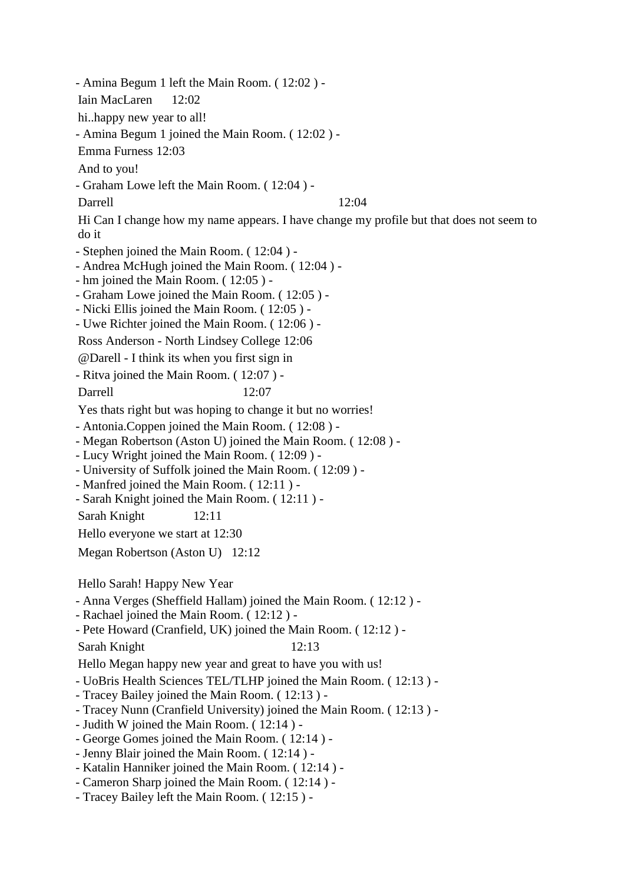- Amina Begum 1 left the Main Room. ( 12:02 ) - Iain MacLaren 12:02 hi..happy new year to all! - Amina Begum 1 joined the Main Room. ( 12:02 ) - Emma Furness 12:03 And to you! - Graham Lowe left the Main Room. ( 12:04 ) - Darrell 12:04 Hi Can I change how my name appears. I have change my profile but that does not seem to do it - Stephen joined the Main Room. ( 12:04 ) - - Andrea McHugh joined the Main Room. ( 12:04 ) - - hm joined the Main Room. ( 12:05 ) - - Graham Lowe joined the Main Room. ( 12:05 ) - - Nicki Ellis joined the Main Room. ( 12:05 ) - - Uwe Richter joined the Main Room. ( 12:06 ) - Ross Anderson - North Lindsey College 12:06 @Darell - I think its when you first sign in - Ritva joined the Main Room. ( 12:07 ) - Darrell 12:07 Yes thats right but was hoping to change it but no worries! - Antonia.Coppen joined the Main Room. ( 12:08 ) - - Megan Robertson (Aston U) joined the Main Room. ( 12:08 ) - - Lucy Wright joined the Main Room. ( 12:09 ) - - University of Suffolk joined the Main Room. ( 12:09 ) - - Manfred joined the Main Room. ( 12:11 ) - - Sarah Knight joined the Main Room. ( 12:11 ) - Sarah Knight 12:11 Hello everyone we start at 12:30 Megan Robertson (Aston U) 12:12 Hello Sarah! Happy New Year - Anna Verges (Sheffield Hallam) joined the Main Room. ( 12:12 ) - - Rachael joined the Main Room. ( 12:12 ) - - Pete Howard (Cranfield, UK) joined the Main Room. ( 12:12 ) - Sarah Knight 12:13 Hello Megan happy new year and great to have you with us! - UoBris Health Sciences TEL/TLHP joined the Main Room. ( 12:13 ) - - Tracey Bailey joined the Main Room. ( 12:13 ) - - Tracey Nunn (Cranfield University) joined the Main Room. ( 12:13 ) - - Judith W joined the Main Room. ( 12:14 ) - - George Gomes joined the Main Room. ( 12:14 ) - - Jenny Blair joined the Main Room. ( 12:14 ) - - Katalin Hanniker joined the Main Room. ( 12:14 ) - - Cameron Sharp joined the Main Room. ( 12:14 ) - - Tracey Bailey left the Main Room. ( 12:15 ) -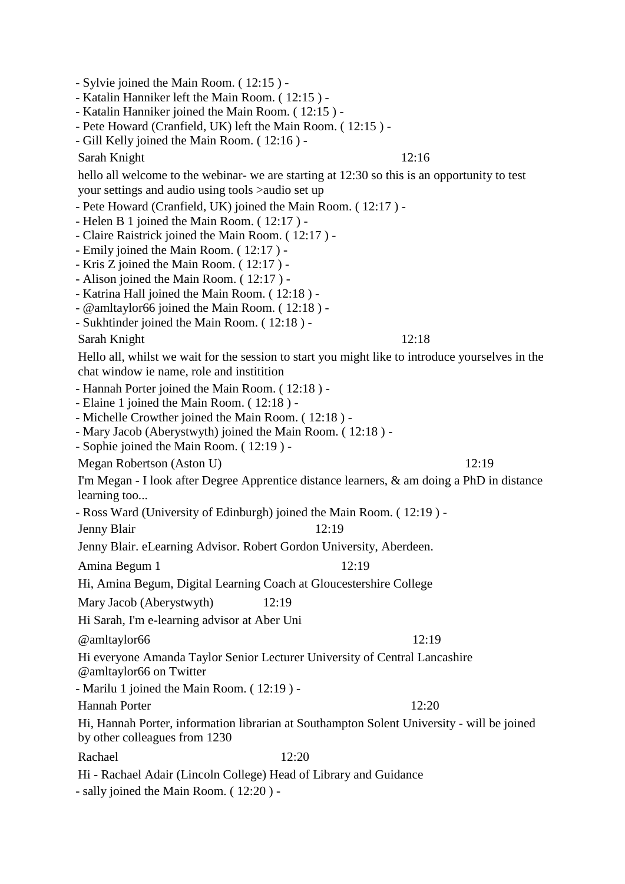- Sylvie joined the Main Room. ( 12:15 ) -
- Katalin Hanniker left the Main Room. ( 12:15 ) -
- Katalin Hanniker joined the Main Room. ( 12:15 ) -
- Pete Howard (Cranfield, UK) left the Main Room. ( 12:15 ) -
- Gill Kelly joined the Main Room. ( 12:16 ) -

Sarah Knight 12:16

hello all welcome to the webinar- we are starting at 12:30 so this is an opportunity to test your settings and audio using tools >audio set up

- Pete Howard (Cranfield, UK) joined the Main Room. ( 12:17 ) -
- Helen B 1 joined the Main Room. ( 12:17 ) -
- Claire Raistrick joined the Main Room. ( 12:17 ) -
- Emily joined the Main Room. ( 12:17 ) -
- Kris Z joined the Main Room. ( 12:17 ) -
- Alison joined the Main Room. ( 12:17 ) -
- Katrina Hall joined the Main Room. ( 12:18 ) -
- @amltaylor66 joined the Main Room. ( 12:18 ) -
- Sukhtinder joined the Main Room. ( 12:18 ) -

Sarah Knight 12:18

Hello all, whilst we wait for the session to start you might like to introduce yourselves in the chat window ie name, role and institition

- Hannah Porter joined the Main Room. ( 12:18 ) -

- Elaine 1 joined the Main Room. ( 12:18 ) -
- Michelle Crowther joined the Main Room. ( 12:18 ) -
- Mary Jacob (Aberystwyth) joined the Main Room. ( 12:18 ) -
- Sophie joined the Main Room. ( 12:19 ) -

Megan Robertson (Aston U) 12:19

I'm Megan - I look after Degree Apprentice distance learners, & am doing a PhD in distance learning too...

- Ross Ward (University of Edinburgh) joined the Main Room. ( 12:19 ) -

Jenny Blair 12:19

Jenny Blair. eLearning Advisor. Robert Gordon University, Aberdeen.

Amina Begum 1 12:19

Hi, Amina Begum, Digital Learning Coach at Gloucestershire College

Mary Jacob (Aberystwyth) 12:19

Hi Sarah, I'm e-learning advisor at Aber Uni

 $@$  amltaylor 66 12:19

Hi everyone Amanda Taylor Senior Lecturer University of Central Lancashire @amltaylor66 on Twitter

- Marilu 1 joined the Main Room. ( 12:19 ) -

Hannah Porter 12:20

Hi, Hannah Porter, information librarian at Southampton Solent University - will be joined by other colleagues from 1230

Rachael 12:20

Hi - Rachael Adair (Lincoln College) Head of Library and Guidance

- sally joined the Main Room. ( 12:20 ) -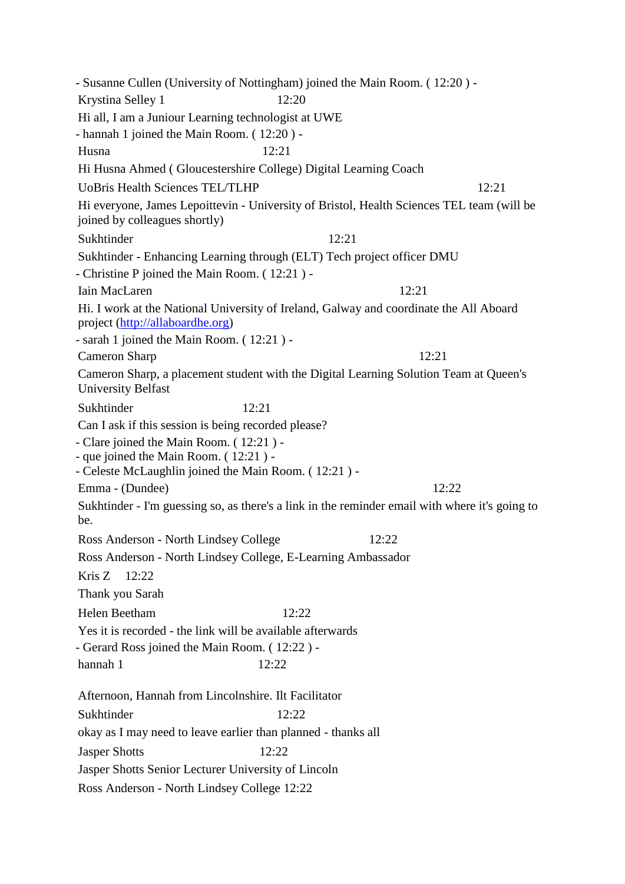- Susanne Cullen (University of Nottingham) joined the Main Room. ( 12:20 ) - Krystina Selley 1 12:20 Hi all, I am a Juniour Learning technologist at UWE - hannah 1 joined the Main Room. ( 12:20 ) - Husna 12:21 Hi Husna Ahmed ( Gloucestershire College) Digital Learning Coach UoBris Health Sciences TEL/TLHP 12:21 Hi everyone, James Lepoittevin - University of Bristol, Health Sciences TEL team (will be joined by colleagues shortly) Sukhtinder 12:21 Sukhtinder - Enhancing Learning through (ELT) Tech project officer DMU - Christine P joined the Main Room. ( 12:21 ) - Iain MacLaren 12:21 Hi. I work at the National University of Ireland, Galway and coordinate the All Aboard project [\(http://allaboardhe.org\)](http://allaboardhe.org/) - sarah 1 joined the Main Room. ( 12:21 ) - Cameron Sharp 12:21 Cameron Sharp, a placement student with the Digital Learning Solution Team at Queen's University Belfast Sukhtinder 12:21 Can I ask if this session is being recorded please? - Clare joined the Main Room. ( 12:21 ) - - que joined the Main Room. ( 12:21 ) - - Celeste McLaughlin joined the Main Room. ( 12:21 ) - Emma - (Dundee) 12:22 Sukhtinder - I'm guessing so, as there's a link in the reminder email with where it's going to be. Ross Anderson - North Lindsey College 12:22 Ross Anderson - North Lindsey College, E-Learning Ambassador Kris Z 12:22 Thank you Sarah Helen Beetham 12:22 Yes it is recorded - the link will be available afterwards - Gerard Ross joined the Main Room. ( 12:22 ) hannah 1 12:22 Afternoon, Hannah from Lincolnshire. Ilt Facilitator Sukhtinder 12:22 okay as I may need to leave earlier than planned - thanks all Jasper Shotts 12:22 Jasper Shotts Senior Lecturer University of Lincoln Ross Anderson - North Lindsey College 12:22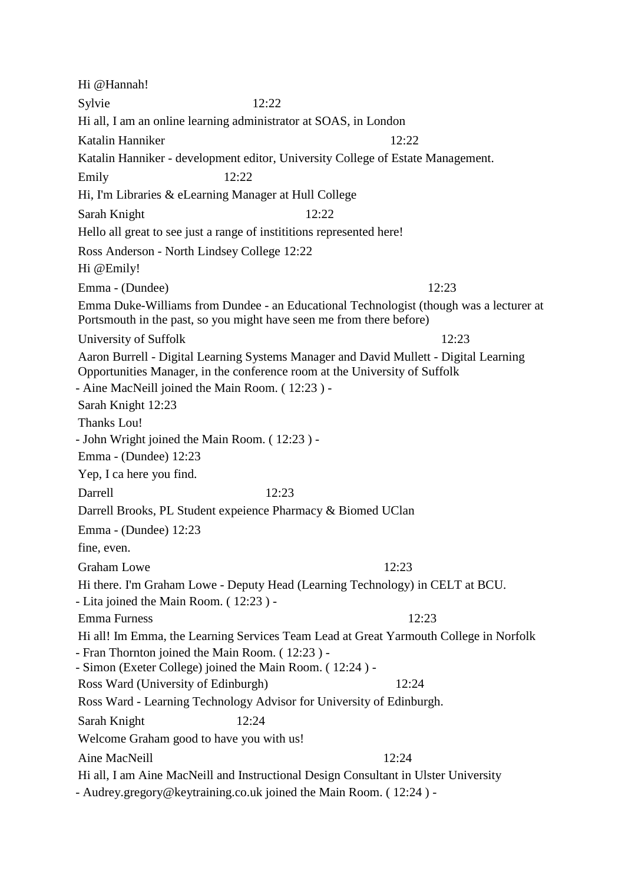Hi @Hannah! Sylvie 12:22 Hi all, I am an online learning administrator at SOAS, in London Katalin Hanniker 12:22 Katalin Hanniker - development editor, University College of Estate Management. Emily 12:22 Hi, I'm Libraries & eLearning Manager at Hull College Sarah Knight 12:22 Hello all great to see just a range of instititions represented here! Ross Anderson - North Lindsey College 12:22 Hi @Emily! Emma - (Dundee) 12:23 Emma Duke-Williams from Dundee - an Educational Technologist (though was a lecturer at Portsmouth in the past, so you might have seen me from there before) University of Suffolk 12:23 Aaron Burrell - Digital Learning Systems Manager and David Mullett - Digital Learning Opportunities Manager, in the conference room at the University of Suffolk - Aine MacNeill joined the Main Room. ( 12:23 ) - Sarah Knight 12:23 Thanks Lou! - John Wright joined the Main Room. ( 12:23 ) - Emma - (Dundee) 12:23 Yep, I ca here you find. Darrell 12:23 Darrell Brooks, PL Student expeience Pharmacy & Biomed UClan Emma - (Dundee) 12:23 fine, even. Graham Lowe 12:23 Hi there. I'm Graham Lowe - Deputy Head (Learning Technology) in CELT at BCU. - Lita joined the Main Room. ( 12:23 ) - Emma Furness 12:23 Hi all! Im Emma, the Learning Services Team Lead at Great Yarmouth College in Norfolk - Fran Thornton joined the Main Room. ( 12:23 ) - - Simon (Exeter College) joined the Main Room. ( 12:24 ) - Ross Ward (University of Edinburgh) 12:24 Ross Ward - Learning Technology Advisor for University of Edinburgh. Sarah Knight 12:24 Welcome Graham good to have you with us! Aine MacNeill 12:24 Hi all, I am Aine MacNeill and Instructional Design Consultant in Ulster University - Audrey.gregory@keytraining.co.uk joined the Main Room. ( 12:24 ) -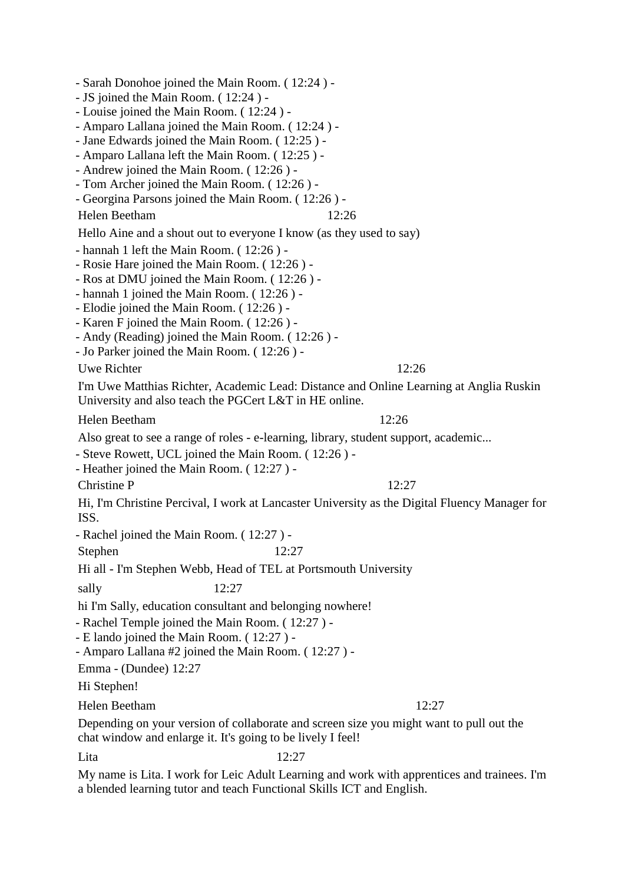- Sarah Donohoe joined the Main Room. ( 12:24 ) - - JS joined the Main Room. ( 12:24 ) - - Louise joined the Main Room. ( 12:24 ) - - Amparo Lallana joined the Main Room. ( 12:24 ) - - Jane Edwards joined the Main Room. ( 12:25 ) - - Amparo Lallana left the Main Room. ( 12:25 ) - - Andrew joined the Main Room. ( 12:26 ) - - Tom Archer joined the Main Room. ( 12:26 ) - - Georgina Parsons joined the Main Room. ( 12:26 ) - Helen Beetham 12:26 Hello Aine and a shout out to everyone I know (as they used to say) - hannah 1 left the Main Room. ( 12:26 ) - - Rosie Hare joined the Main Room. ( 12:26 ) - - Ros at DMU joined the Main Room. ( 12:26 ) - - hannah 1 joined the Main Room. ( 12:26 ) - - Elodie joined the Main Room. ( 12:26 ) - - Karen F joined the Main Room. ( 12:26 ) - - Andy (Reading) joined the Main Room. ( 12:26 ) - - Jo Parker joined the Main Room. ( 12:26 ) - Uwe Richter 12:26 I'm Uwe Matthias Richter, Academic Lead: Distance and Online Learning at Anglia Ruskin University and also teach the PGCert L&T in HE online. Helen Beetham 12:26 Also great to see a range of roles - e-learning, library, student support, academic... - Steve Rowett, UCL joined the Main Room. ( 12:26 ) - - Heather joined the Main Room. ( 12:27 ) - Christine P 12:27 Hi, I'm Christine Percival, I work at Lancaster University as the Digital Fluency Manager for ISS. - Rachel joined the Main Room. ( 12:27 ) - Stephen 12:27 Hi all - I'm Stephen Webb, Head of TEL at Portsmouth University sally 12:27 hi I'm Sally, education consultant and belonging nowhere! - Rachel Temple joined the Main Room. ( 12:27 ) - - E lando joined the Main Room. ( 12:27 ) - - Amparo Lallana #2 joined the Main Room. ( 12:27 ) - Emma - (Dundee) 12:27 Hi Stephen! Helen Beetham 12:27 Depending on your version of collaborate and screen size you might want to pull out the

chat window and enlarge it. It's going to be lively I feel!

Lita 12:27

My name is Lita. I work for Leic Adult Learning and work with apprentices and trainees. I'm a blended learning tutor and teach Functional Skills ICT and English.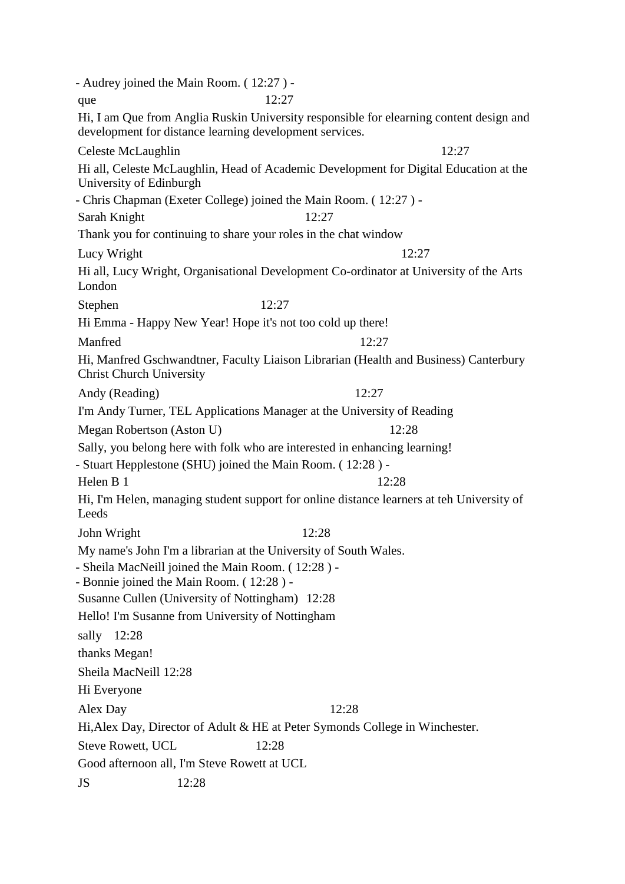- Audrey joined the Main Room. ( 12:27 ) que 12:27 Hi, I am Que from Anglia Ruskin University responsible for elearning content design and development for distance learning development services. Celeste McLaughlin 12:27 Hi all, Celeste McLaughlin, Head of Academic Development for Digital Education at the University of Edinburgh - Chris Chapman (Exeter College) joined the Main Room. ( 12:27 ) - Sarah Knight 12:27 Thank you for continuing to share your roles in the chat window Lucy Wright 12:27 Hi all, Lucy Wright, Organisational Development Co-ordinator at University of the Arts London Stephen 12:27 Hi Emma - Happy New Year! Hope it's not too cold up there! Manfred 12:27 Hi, Manfred Gschwandtner, Faculty Liaison Librarian (Health and Business) Canterbury Christ Church University Andy (Reading) 12:27 I'm Andy Turner, TEL Applications Manager at the University of Reading Megan Robertson (Aston U) 12:28 Sally, you belong here with folk who are interested in enhancing learning! - Stuart Hepplestone (SHU) joined the Main Room. ( 12:28 ) - Helen B 1  $12:28$ Hi, I'm Helen, managing student support for online distance learners at teh University of Leeds John Wright 12:28 My name's John I'm a librarian at the University of South Wales. - Sheila MacNeill joined the Main Room. ( 12:28 ) - - Bonnie joined the Main Room. ( 12:28 ) - Susanne Cullen (University of Nottingham) 12:28 Hello! I'm Susanne from University of Nottingham sally 12:28 thanks Megan! Sheila MacNeill 12:28 Hi Everyone Alex Day 12:28 Hi,Alex Day, Director of Adult & HE at Peter Symonds College in Winchester. Steve Rowett, UCL 12:28 Good afternoon all, I'm Steve Rowett at UCL JS 12:28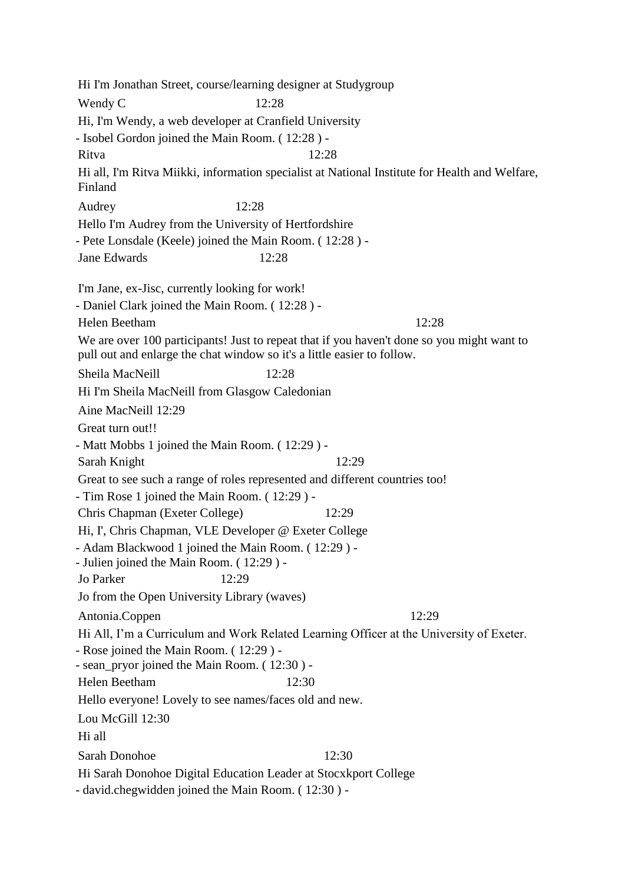Hi I'm Jonathan Street, course/learning designer at Studygroup Wendy C 12:28 Hi, I'm Wendy, a web developer at Cranfield University - Isobel Gordon joined the Main Room. ( 12:28 ) - Ritva 12:28 Hi all, I'm Ritva Miikki, information specialist at National Institute for Health and Welfare, Finland Audrey 12:28 Hello I'm Audrey from the University of Hertfordshire - Pete Lonsdale (Keele) joined the Main Room. ( 12:28 ) - Jane Edwards 12:28 I'm Jane, ex-Jisc, currently looking for work! - Daniel Clark joined the Main Room. ( 12:28 ) - Helen Beetham 12:28 We are over 100 participants! Just to repeat that if you haven't done so you might want to pull out and enlarge the chat window so it's a little easier to follow. Sheila MacNeill 12:28 Hi I'm Sheila MacNeill from Glasgow Caledonian Aine MacNeill 12:29 Great turn out!! - Matt Mobbs 1 joined the Main Room. ( 12:29 ) - Sarah Knight 12:29 Great to see such a range of roles represented and different countries too! - Tim Rose 1 joined the Main Room. ( 12:29 ) - Chris Chapman (Exeter College) 12:29 Hi, I', Chris Chapman, VLE Developer @ Exeter College - Adam Blackwood 1 joined the Main Room. ( 12:29 ) - - Julien joined the Main Room. ( 12:29 ) - Jo Parker 12:29 Jo from the Open University Library (waves) Antonia.Coppen 12:29 Hi All, I'm a Curriculum and Work Related Learning Officer at the University of Exeter. - Rose joined the Main Room. ( 12:29 ) - - sean\_pryor joined the Main Room. ( 12:30 ) - Helen Beetham 12:30 Hello everyone! Lovely to see names/faces old and new. Lou McGill 12:30 Hi all Sarah Donohoe 12:30 Hi Sarah Donohoe Digital Education Leader at Stocxkport College - david.chegwidden joined the Main Room. ( 12:30 ) -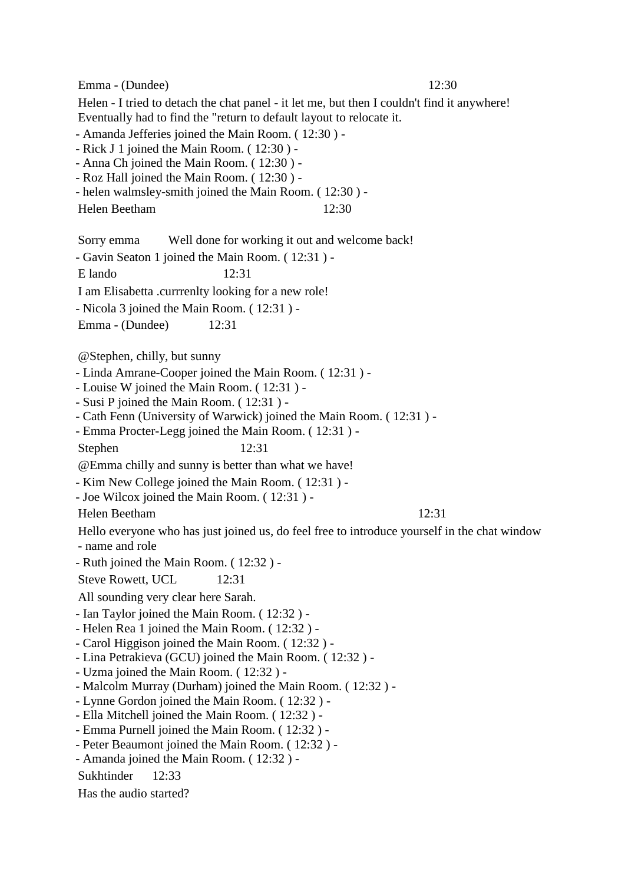Emma - (Dundee) 12:30

Helen - I tried to detach the chat panel - it let me, but then I couldn't find it anywhere! Eventually had to find the "return to default layout to relocate it.

- Amanda Jefferies joined the Main Room. ( 12:30 ) -

- Rick J 1 joined the Main Room. ( 12:30 ) -

- Anna Ch joined the Main Room. ( 12:30 ) -

- Roz Hall joined the Main Room. ( 12:30 ) -

- helen walmsley-smith joined the Main Room. ( 12:30 ) -

Helen Beetham 12:30

Sorry emma Well done for working it out and welcome back!

- Gavin Seaton 1 joined the Main Room. ( 12:31 ) -

E lando 12:31

I am Elisabetta .currrenlty looking for a new role!

- Nicola 3 joined the Main Room. ( 12:31 ) -

Emma - (Dundee) 12:31

@Stephen, chilly, but sunny

- Linda Amrane-Cooper joined the Main Room. ( 12:31 ) -
- Louise W joined the Main Room. ( 12:31 ) -
- Susi P joined the Main Room. ( 12:31 ) -
- Cath Fenn (University of Warwick) joined the Main Room. ( 12:31 ) -

- Emma Procter-Legg joined the Main Room. ( 12:31 ) -

Stephen 12:31

@Emma chilly and sunny is better than what we have!

- Kim New College joined the Main Room. ( 12:31 ) -

- Joe Wilcox joined the Main Room. ( 12:31 ) -

## Helen Beetham 12:31

Hello everyone who has just joined us, do feel free to introduce yourself in the chat window - name and role

- Ruth joined the Main Room. ( 12:32 ) -

Steve Rowett, UCL 12:31

All sounding very clear here Sarah.

- Ian Taylor joined the Main Room. ( 12:32 ) -
- Helen Rea 1 joined the Main Room. ( 12:32 ) -
- Carol Higgison joined the Main Room. ( 12:32 ) -
- Lina Petrakieva (GCU) joined the Main Room. ( 12:32 ) -
- Uzma joined the Main Room. ( 12:32 ) -
- Malcolm Murray (Durham) joined the Main Room. ( 12:32 ) -
- Lynne Gordon joined the Main Room. ( 12:32 ) -
- Ella Mitchell joined the Main Room. ( 12:32 ) -
- Emma Purnell joined the Main Room. ( 12:32 ) -
- Peter Beaumont joined the Main Room. ( 12:32 ) -
- Amanda joined the Main Room. ( 12:32 ) -

Sukhtinder 12:33

Has the audio started?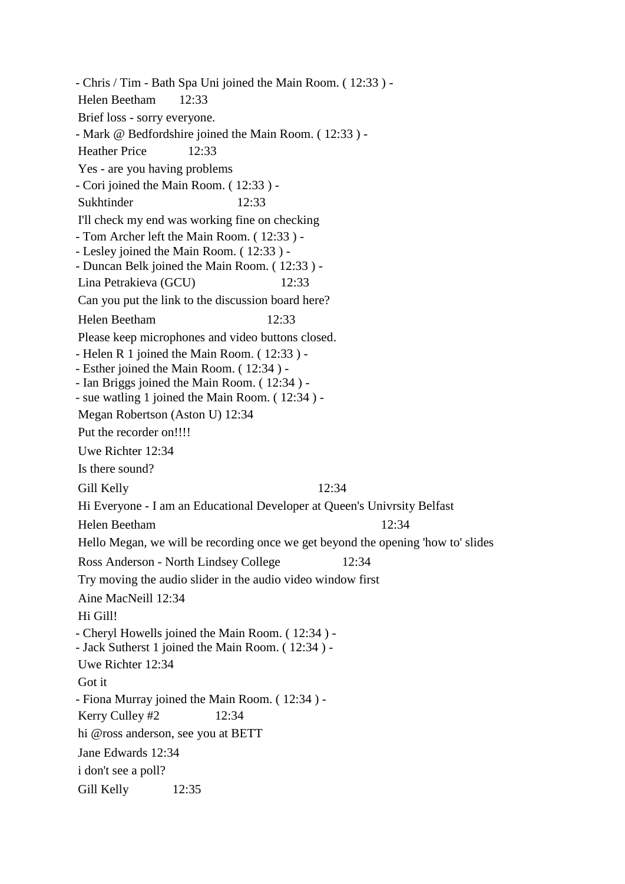- Chris / Tim - Bath Spa Uni joined the Main Room. ( 12:33 ) - Helen Beetham 12:33 Brief loss - sorry everyone. - Mark @ Bedfordshire joined the Main Room. ( 12:33 ) - Heather Price 12:33 Yes - are you having problems - Cori joined the Main Room. ( 12:33 ) - Sukhtinder 12:33 I'll check my end was working fine on checking - Tom Archer left the Main Room. ( 12:33 ) - - Lesley joined the Main Room. ( 12:33 ) - - Duncan Belk joined the Main Room. ( 12:33 ) - Lina Petrakieva (GCU) 12:33 Can you put the link to the discussion board here? Helen Beetham 12:33 Please keep microphones and video buttons closed. - Helen R 1 joined the Main Room. ( 12:33 ) - - Esther joined the Main Room. ( 12:34 ) - - Ian Briggs joined the Main Room. ( 12:34 ) - - sue watling 1 joined the Main Room. ( 12:34 ) - Megan Robertson (Aston U) 12:34 Put the recorder on!!!! Uwe Richter 12:34 Is there sound? Gill Kelly 12:34 Hi Everyone - I am an Educational Developer at Queen's Univrsity Belfast Helen Beetham 12:34 Hello Megan, we will be recording once we get beyond the opening 'how to' slides Ross Anderson - North Lindsey College 12:34 Try moving the audio slider in the audio video window first Aine MacNeill 12:34 Hi Gill! - Cheryl Howells joined the Main Room. ( 12:34 ) - - Jack Sutherst 1 joined the Main Room. ( 12:34 ) - Uwe Richter 12:34 Got it - Fiona Murray joined the Main Room. ( 12:34 ) - Kerry Culley  $#2$  12:34 hi @ross anderson, see you at BETT Jane Edwards 12:34 i don't see a poll? Gill Kelly 12:35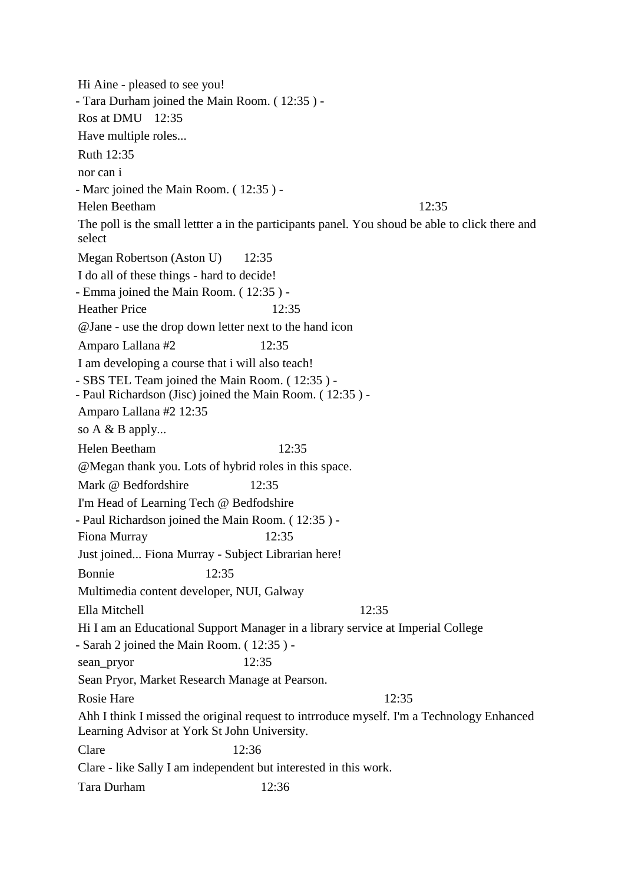Hi Aine - pleased to see you! - Tara Durham joined the Main Room. ( 12:35 ) - Ros at DMU 12:35 Have multiple roles... Ruth 12:35 nor can i - Marc joined the Main Room. ( 12:35 ) - Helen Beetham 12:35 The poll is the small lettter a in the participants panel. You shoud be able to click there and select Megan Robertson (Aston U) 12:35 I do all of these things - hard to decide! - Emma joined the Main Room. ( 12:35 ) - Heather Price 12:35 @Jane - use the drop down letter next to the hand icon Amparo Lallana #2 12:35 I am developing a course that i will also teach! - SBS TEL Team joined the Main Room. ( 12:35 ) - - Paul Richardson (Jisc) joined the Main Room. ( 12:35 ) - Amparo Lallana #2 12:35 so A & B apply... Helen Beetham 12:35 @Megan thank you. Lots of hybrid roles in this space. Mark @ Bedfordshire 12:35 I'm Head of Learning Tech @ Bedfodshire - Paul Richardson joined the Main Room. ( 12:35 ) - Fiona Murray 12:35 Just joined... Fiona Murray - Subject Librarian here! Bonnie 12:35 Multimedia content developer, NUI, Galway Ella Mitchell 12:35 Hi I am an Educational Support Manager in a library service at Imperial College - Sarah 2 joined the Main Room. ( 12:35 ) sean\_pryor 12:35 Sean Pryor, Market Research Manage at Pearson. Rosie Hare 12:35 Ahh I think I missed the original request to intrroduce myself. I'm a Technology Enhanced Learning Advisor at York St John University. Clare 12:36 Clare - like Sally I am independent but interested in this work. Tara Durham 12:36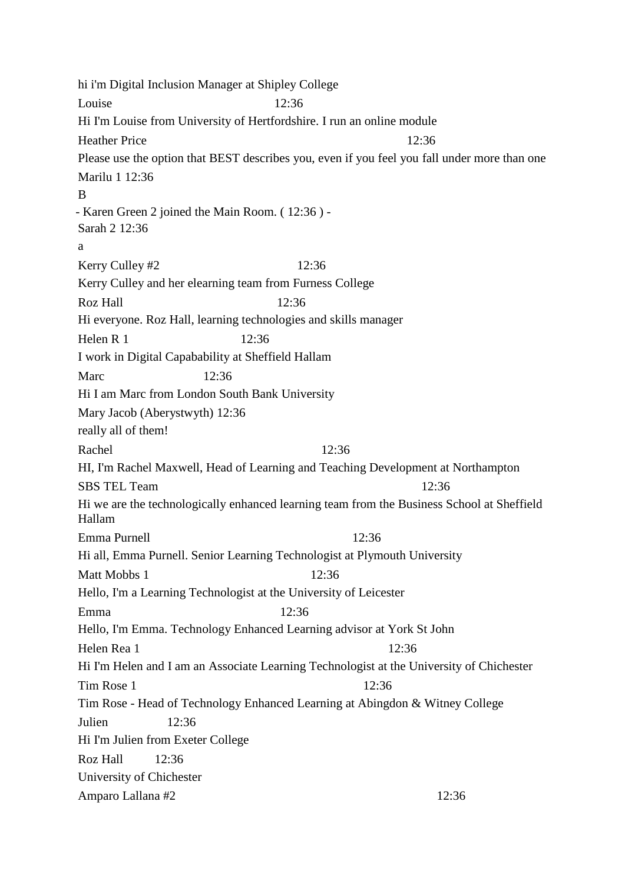hi i'm Digital Inclusion Manager at Shipley College Louise  $12:36$ Hi I'm Louise from University of Hertfordshire. I run an online module Heather Price 12:36 Please use the option that BEST describes you, even if you feel you fall under more than one Marilu 1 12:36 B - Karen Green 2 joined the Main Room. ( 12:36 ) - Sarah 2 12:36 a Kerry Culley #2 12:36 Kerry Culley and her elearning team from Furness College Roz Hall 12:36 Hi everyone. Roz Hall, learning technologies and skills manager Helen R 1  $12:36$ I work in Digital Capabability at Sheffield Hallam Marc 12:36 Hi I am Marc from London South Bank University Mary Jacob (Aberystwyth) 12:36 really all of them! Rachel 12:36 HI, I'm Rachel Maxwell, Head of Learning and Teaching Development at Northampton SBS TEL Team 12:36 Hi we are the technologically enhanced learning team from the Business School at Sheffield Hallam Emma Purnell 12:36 Hi all, Emma Purnell. Senior Learning Technologist at Plymouth University Matt Mobbs 1 12:36 Hello, I'm a Learning Technologist at the University of Leicester Emma 12:36 Hello, I'm Emma. Technology Enhanced Learning advisor at York St John Helen Rea 1 12:36 Hi I'm Helen and I am an Associate Learning Technologist at the University of Chichester Tim Rose 1 12:36 Tim Rose - Head of Technology Enhanced Learning at Abingdon & Witney College Julien 12:36 Hi I'm Julien from Exeter College Roz Hall 12:36 University of Chichester Amparo Lallana #2 12:36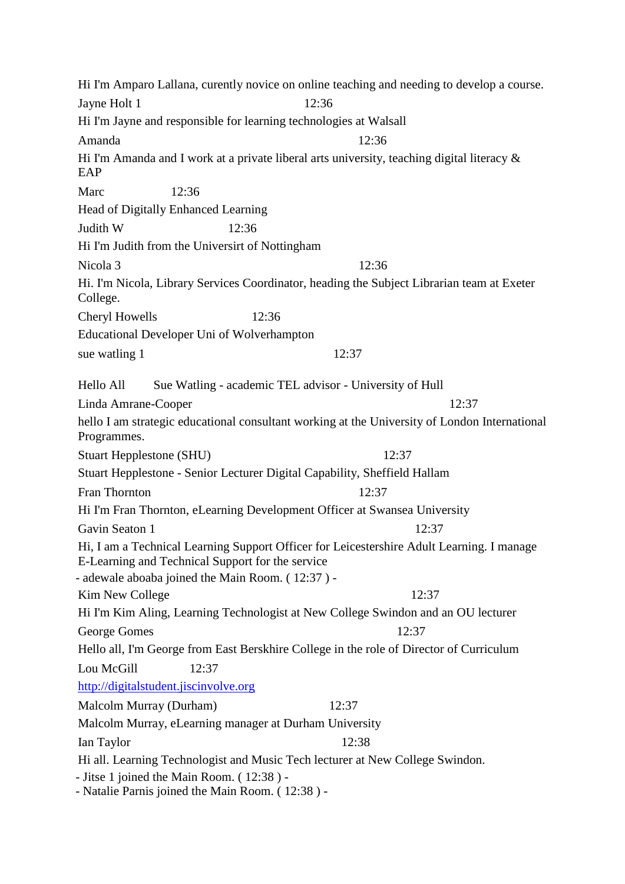Hi I'm Amparo Lallana, curently novice on online teaching and needing to develop a course. Jayne Holt 1 12:36 Hi I'm Jayne and responsible for learning technologies at Walsall Amanda 12:36 Hi I'm Amanda and I work at a private liberal arts university, teaching digital literacy & **EAP** Marc 12:36 Head of Digitally Enhanced Learning Judith W 12:36 Hi I'm Judith from the Universirt of Nottingham Nicola 3 12:36 Hi. I'm Nicola, Library Services Coordinator, heading the Subject Librarian team at Exeter College. Cheryl Howells 12:36 Educational Developer Uni of Wolverhampton sue watling 1 12:37 Hello All Sue Watling - academic TEL advisor - University of Hull Linda Amrane-Cooper 12:37 hello I am strategic educational consultant working at the University of London International Programmes. Stuart Hepplestone (SHU) 12:37 Stuart Hepplestone - Senior Lecturer Digital Capability, Sheffield Hallam Fran Thornton 12:37 Hi I'm Fran Thornton, eLearning Development Officer at Swansea University Gavin Seaton 1 12:37 Hi, I am a Technical Learning Support Officer for Leicestershire Adult Learning. I manage E-Learning and Technical Support for the service - adewale aboaba joined the Main Room. ( 12:37 ) - Kim New College 12:37 Hi I'm Kim Aling, Learning Technologist at New College Swindon and an OU lecturer George Gomes 12:37 Hello all, I'm George from East Berskhire College in the role of Director of Curriculum Lou McGill 12:37 [http://digitalstudent.jiscinvolve.org](http://digitalstudent.jiscinvolve.org/) Malcolm Murray (Durham) 12:37 Malcolm Murray, eLearning manager at Durham University Ian Taylor 12:38 Hi all. Learning Technologist and Music Tech lecturer at New College Swindon. - Jitse 1 joined the Main Room. ( 12:38 ) - - Natalie Parnis joined the Main Room. ( 12:38 ) -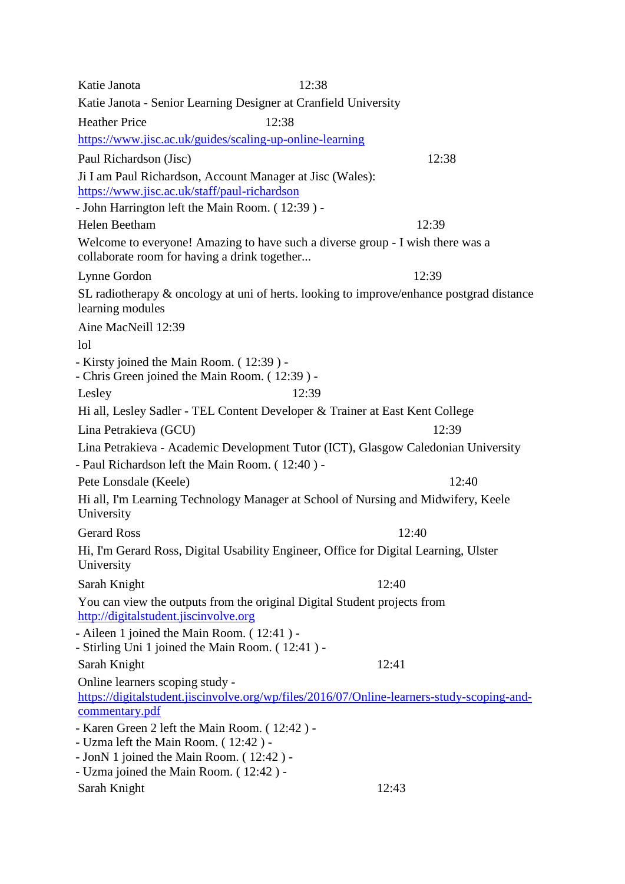Katie Janota 12:38 Katie Janota - Senior Learning Designer at Cranfield University Heather Price 12:38 <https://www.jisc.ac.uk/guides/scaling-up-online-learning> Paul Richardson (Jisc) 12:38 Ji I am Paul Richardson, Account Manager at Jisc (Wales): <https://www.jisc.ac.uk/staff/paul-richardson> - John Harrington left the Main Room. ( 12:39 ) - Helen Beetham 12:39 Welcome to everyone! Amazing to have such a diverse group - I wish there was a collaborate room for having a drink together... Lynne Gordon 12:39 SL radiotherapy & oncology at uni of herts. looking to improve/enhance postgrad distance learning modules Aine MacNeill 12:39 lol - Kirsty joined the Main Room. ( 12:39 ) - - Chris Green joined the Main Room. ( 12:39 ) - Lesley  $12:39$ Hi all, Lesley Sadler - TEL Content Developer & Trainer at East Kent College Lina Petrakieva (GCU) 12:39 Lina Petrakieva - Academic Development Tutor (ICT), Glasgow Caledonian University - Paul Richardson left the Main Room. ( 12:40 ) - Pete Lonsdale (Keele) 12:40 Hi all, I'm Learning Technology Manager at School of Nursing and Midwifery, Keele University Gerard Ross 12:40 Hi, I'm Gerard Ross, Digital Usability Engineer, Office for Digital Learning, Ulster University Sarah Knight 12:40 You can view the outputs from the original Digital Student projects from [http://digitalstudent.jiscinvolve.org](http://digitalstudent.jiscinvolve.org/) - Aileen 1 joined the Main Room. ( 12:41 ) - - Stirling Uni 1 joined the Main Room. ( 12:41 ) - Sarah Knight 12:41 Online learners scoping study [https://digitalstudent.jiscinvolve.org/wp/files/2016/07/Online-learners-study-scoping-and](https://digitalstudent.jiscinvolve.org/wp/files/2016/07/Online-learners-study-scoping-and-commentary.pdf)[commentary.pdf](https://digitalstudent.jiscinvolve.org/wp/files/2016/07/Online-learners-study-scoping-and-commentary.pdf) - Karen Green 2 left the Main Room. ( 12:42 ) - - Uzma left the Main Room. ( 12:42 ) - - JonN 1 joined the Main Room. ( 12:42 ) - - Uzma joined the Main Room. ( 12:42 ) - Sarah Knight 12:43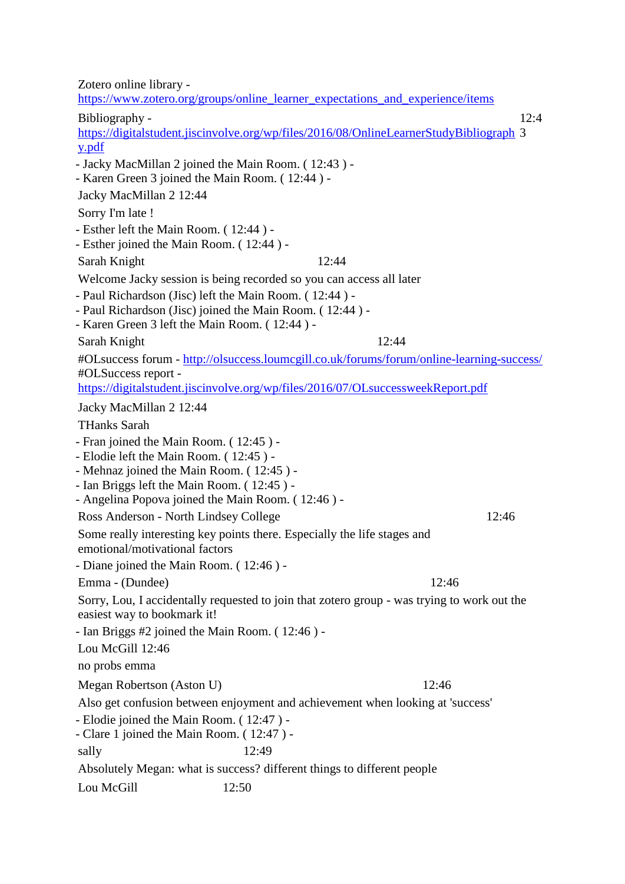Zotero online library [https://www.zotero.org/groups/online\\_learner\\_expectations\\_and\\_experience/items](https://www.zotero.org/groups/online_learner_expectations_and_experience/items) Bibliography [https://digitalstudent.jiscinvolve.org/wp/files/2016/08/OnlineLearnerStudyBibliograph](https://digitalstudent.jiscinvolve.org/wp/files/2016/08/OnlineLearnerStudyBibliography.pdf) 3 [y.pdf](https://digitalstudent.jiscinvolve.org/wp/files/2016/08/OnlineLearnerStudyBibliography.pdf)  $12:4$ - Jacky MacMillan 2 joined the Main Room. ( 12:43 ) - - Karen Green 3 joined the Main Room. ( 12:44 ) - Jacky MacMillan 2 12:44 Sorry I'm late ! - Esther left the Main Room. ( 12:44 ) - - Esther joined the Main Room. ( 12:44 ) - Sarah Knight 12:44 Welcome Jacky session is being recorded so you can access all later - Paul Richardson (Jisc) left the Main Room. ( 12:44 ) - - Paul Richardson (Jisc) joined the Main Room. ( 12:44 ) - - Karen Green 3 left the Main Room. ( 12:44 ) - Sarah Knight 12:44 #OLsuccess forum - <http://olsuccess.loumcgill.co.uk/forums/forum/online-learning-success/> #OLSuccess report <https://digitalstudent.jiscinvolve.org/wp/files/2016/07/OLsuccessweekReport.pdf> Jacky MacMillan 2 12:44 THanks Sarah - Fran joined the Main Room. ( 12:45 ) - - Elodie left the Main Room. ( 12:45 ) - - Mehnaz joined the Main Room. ( 12:45 ) - - Ian Briggs left the Main Room. ( 12:45 ) - - Angelina Popova joined the Main Room. ( 12:46 ) - Ross Anderson - North Lindsey College 12:46 Some really interesting key points there. Especially the life stages and emotional/motivational factors - Diane joined the Main Room. ( 12:46 ) - Emma - (Dundee) 12:46 Sorry, Lou, I accidentally requested to join that zotero group - was trying to work out the easiest way to bookmark it! - Ian Briggs #2 joined the Main Room. ( 12:46 ) - Lou McGill 12:46 no probs emma Megan Robertson (Aston U) 12:46 Also get confusion between enjoyment and achievement when looking at 'success' - Elodie joined the Main Room. ( 12:47 ) - - Clare 1 joined the Main Room. ( 12:47 ) sally 12:49 Absolutely Megan: what is success? different things to different people Lou McGill  $12:50$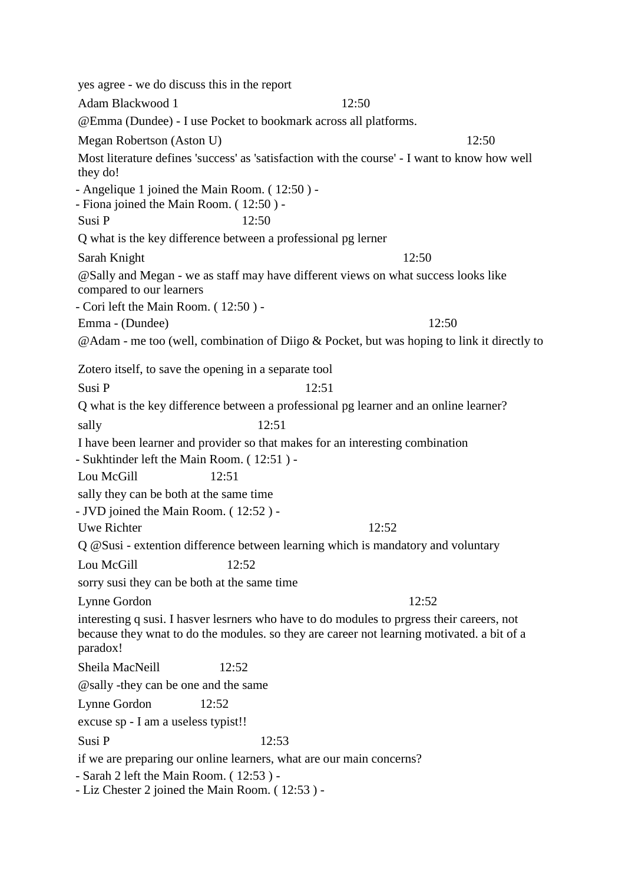yes agree - we do discuss this in the report Adam Blackwood 1 12:50 @Emma (Dundee) - I use Pocket to bookmark across all platforms. Megan Robertson (Aston U) 12:50 Most literature defines 'success' as 'satisfaction with the course' - I want to know how well they do! - Angelique 1 joined the Main Room. ( 12:50 ) - - Fiona joined the Main Room. ( 12:50 ) - Susi P 12:50 Q what is the key difference between a professional pg lerner Sarah Knight 12:50 @Sally and Megan - we as staff may have different views on what success looks like compared to our learners - Cori left the Main Room. ( 12:50 ) - Emma - (Dundee) 12:50 @Adam - me too (well, combination of Diigo & Pocket, but was hoping to link it directly to Zotero itself, to save the opening in a separate tool Susi P 12:51 Q what is the key difference between a professional pg learner and an online learner? sally 12:51 I have been learner and provider so that makes for an interesting combination - Sukhtinder left the Main Room. ( 12:51 ) - Lou McGill 12:51 sally they can be both at the same time - JVD joined the Main Room. ( 12:52 ) - Uwe Richter 12:52 Q @Susi - extention difference between learning which is mandatory and voluntary Lou McGill 12:52 sorry susi they can be both at the same time Lynne Gordon 12:52 interesting q susi. I hasver lesrners who have to do modules to prgress their careers, not because they wnat to do the modules. so they are career not learning motivated. a bit of a paradox! Sheila MacNeill 12:52 @sally -they can be one and the same Lynne Gordon 12:52 excuse sp - I am a useless typist!! Susi P 12:53 if we are preparing our online learners, what are our main concerns? - Sarah 2 left the Main Room. ( 12:53 ) - - Liz Chester 2 joined the Main Room. ( 12:53 ) -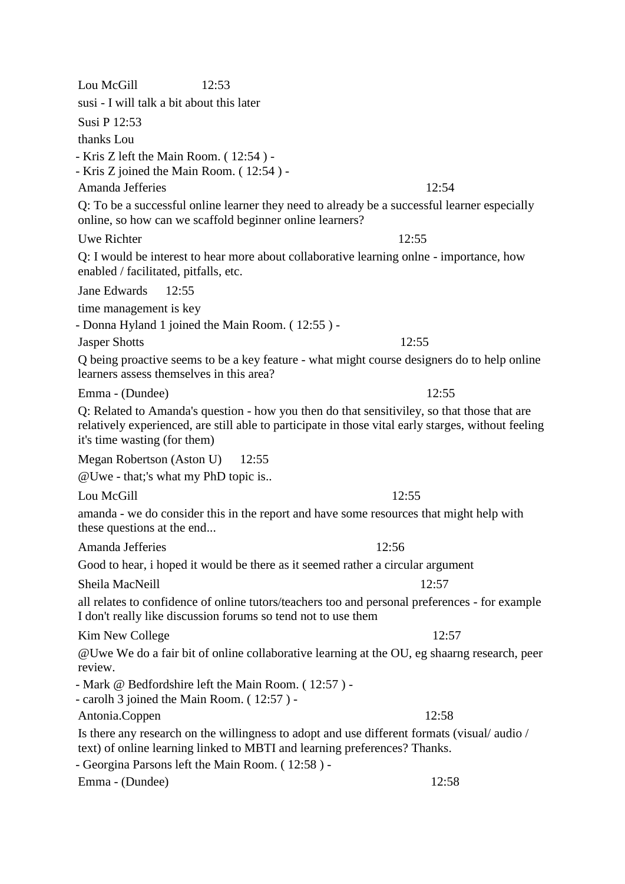Lou McGill 12:53 susi - I will talk a bit about this later Susi P 12:53 thanks Lou - Kris Z left the Main Room. ( 12:54 ) - - Kris Z joined the Main Room. ( 12:54 ) - Amanda Jefferies 12:54 Q: To be a successful online learner they need to already be a successful learner especially online, so how can we scaffold beginner online learners? Uwe Richter 12:55 Q: I would be interest to hear more about collaborative learning onlne - importance, how enabled / facilitated, pitfalls, etc. Jane Edwards 12:55 time management is key - Donna Hyland 1 joined the Main Room. ( 12:55 ) - Jasper Shotts 12:55 Q being proactive seems to be a key feature - what might course designers do to help online learners assess themselves in this area? Emma - (Dundee) 12:55 Q: Related to Amanda's question - how you then do that sensitiviley, so that those that are relatively experienced, are still able to participate in those vital early starges, without feeling it's time wasting (for them) Megan Robertson (Aston U) 12:55 @Uwe - that;'s what my PhD topic is.. Lou McGill  $\qquad \qquad$  12:55 amanda - we do consider this in the report and have some resources that might help with these questions at the end... Amanda Jefferies 12:56 Good to hear, i hoped it would be there as it seemed rather a circular argument Sheila MacNeill 2:57 all relates to confidence of online tutors/teachers too and personal preferences - for example I don't really like discussion forums so tend not to use them Kim New College 12:57 @Uwe We do a fair bit of online collaborative learning at the OU, eg shaarng research, peer review. - Mark @ Bedfordshire left the Main Room. ( 12:57 ) - - carolh 3 joined the Main Room. ( 12:57 ) - Antonia.Coppen 12:58 Is there any research on the willingness to adopt and use different formats (visual/ audio / text) of online learning linked to MBTI and learning preferences? Thanks. - Georgina Parsons left the Main Room. ( 12:58 ) - Emma - (Dundee) 12:58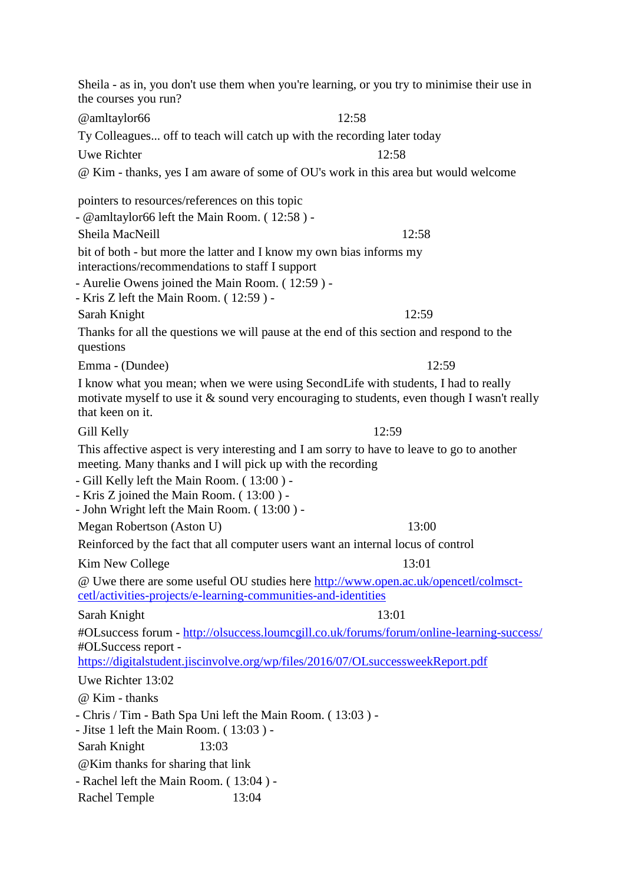Sheila - as in, you don't use them when you're learning, or you try to minimise their use in the courses you run? @amltaylor66 12:58 Ty Colleagues... off to teach will catch up with the recording later today Uwe Richter 12:58 @ Kim - thanks, yes I am aware of some of OU's work in this area but would welcome pointers to resources/references on this topic - @amltaylor66 left the Main Room. ( 12:58 ) - Sheila MacNeill 12:58 bit of both - but more the latter and I know my own bias informs my interactions/recommendations to staff I support - Aurelie Owens joined the Main Room. ( 12:59 ) - - Kris Z left the Main Room. ( 12:59 ) - Sarah Knight 12:59 Thanks for all the questions we will pause at the end of this section and respond to the questions Emma - (Dundee) 12:59 I know what you mean; when we were using SecondLife with students, I had to really motivate myself to use it & sound very encouraging to students, even though I wasn't really that keen on it. Gill Kelly 12:59 This affective aspect is very interesting and I am sorry to have to leave to go to another meeting. Many thanks and I will pick up with the recording - Gill Kelly left the Main Room. ( 13:00 ) - - Kris Z joined the Main Room. ( 13:00 ) - - John Wright left the Main Room. ( 13:00 ) - Megan Robertson (Aston U) 13:00 Reinforced by the fact that all computer users want an internal locus of control Kim New College 13:01 @ Uwe there are some useful OU studies here [http://www.open.ac.uk/opencetl/colmsct](http://www.open.ac.uk/opencetl/colmsct-cetl/activities-projects/e-learning-communities-and-identities)[cetl/activities-projects/e-learning-communities-and-identities](http://www.open.ac.uk/opencetl/colmsct-cetl/activities-projects/e-learning-communities-and-identities) Sarah Knight 13:01 #OLsuccess forum - <http://olsuccess.loumcgill.co.uk/forums/forum/online-learning-success/> #OLSuccess report <https://digitalstudent.jiscinvolve.org/wp/files/2016/07/OLsuccessweekReport.pdf> Uwe Richter 13:02 @ Kim - thanks - Chris / Tim - Bath Spa Uni left the Main Room. ( 13:03 ) - - Jitse 1 left the Main Room. ( 13:03 ) - Sarah Knight 13:03 @Kim thanks for sharing that link - Rachel left the Main Room. ( 13:04 ) - Rachel Temple 13:04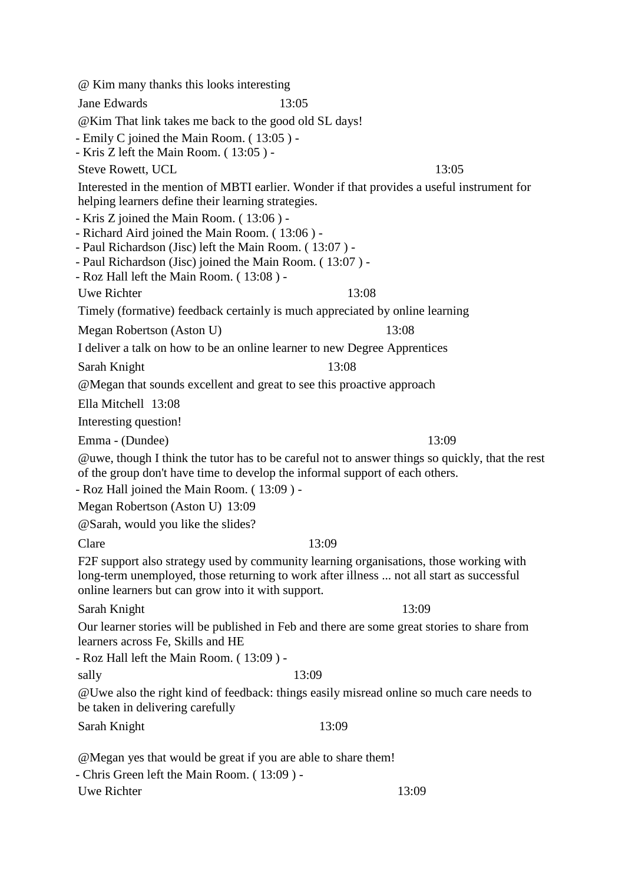@ Kim many thanks this looks interesting Jane Edwards 13:05 @Kim That link takes me back to the good old SL days! - Emily C joined the Main Room. ( 13:05 ) - - Kris Z left the Main Room. ( 13:05 ) - Steve Rowett, UCL 13:05 Interested in the mention of MBTI earlier. Wonder if that provides a useful instrument for helping learners define their learning strategies. - Kris Z joined the Main Room. ( 13:06 ) - - Richard Aird joined the Main Room. ( 13:06 ) - - Paul Richardson (Jisc) left the Main Room. ( 13:07 ) - - Paul Richardson (Jisc) joined the Main Room. ( 13:07 ) - - Roz Hall left the Main Room. ( 13:08 ) - Uwe Richter 13:08 Timely (formative) feedback certainly is much appreciated by online learning Megan Robertson (Aston U) 13:08 I deliver a talk on how to be an online learner to new Degree Apprentices Sarah Knight 13:08 @Megan that sounds excellent and great to see this proactive approach Ella Mitchell 13:08 Interesting question! Emma - (Dundee) 13:09 @uwe, though I think the tutor has to be careful not to answer things so quickly, that the rest of the group don't have time to develop the informal support of each others. - Roz Hall joined the Main Room. ( 13:09 ) - Megan Robertson (Aston U) 13:09 @Sarah, would you like the slides? Clare 13:09 F2F support also strategy used by community learning organisations, those working with long-term unemployed, those returning to work after illness ... not all start as successful online learners but can grow into it with support. Sarah Knight 13:09 Our learner stories will be published in Feb and there are some great stories to share from learners across Fe, Skills and HE - Roz Hall left the Main Room. ( 13:09 ) sally 13:09 @Uwe also the right kind of feedback: things easily misread online so much care needs to be taken in delivering carefully Sarah Knight 13:09 @Megan yes that would be great if you are able to share them! - Chris Green left the Main Room. ( 13:09 ) -

Uwe Richter 13:09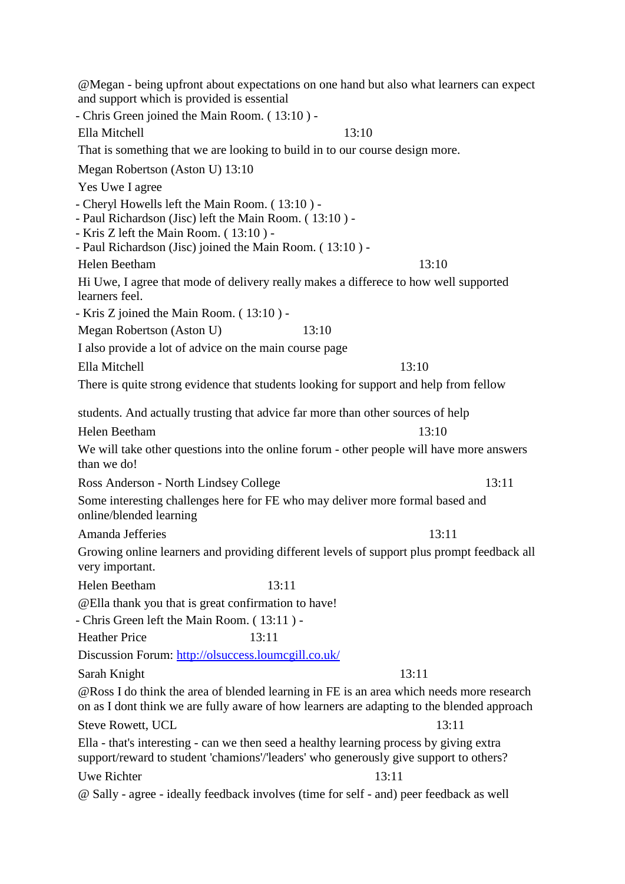@Megan - being upfront about expectations on one hand but also what learners can expect and support which is provided is essential - Chris Green joined the Main Room. ( 13:10 ) - Ella Mitchell 13:10 That is something that we are looking to build in to our course design more. Megan Robertson (Aston U) 13:10 Yes Uwe I agree - Cheryl Howells left the Main Room. ( 13:10 ) - - Paul Richardson (Jisc) left the Main Room. ( 13:10 ) - - Kris Z left the Main Room. ( 13:10 ) - - Paul Richardson (Jisc) joined the Main Room. ( 13:10 ) - Helen Beetham 13:10 Hi Uwe, I agree that mode of delivery really makes a differece to how well supported learners feel. - Kris Z joined the Main Room. ( 13:10 ) - Megan Robertson (Aston U) 13:10 I also provide a lot of advice on the main course page Ella Mitchell 13:10 There is quite strong evidence that students looking for support and help from fellow students. And actually trusting that advice far more than other sources of help Helen Beetham 13:10 We will take other questions into the online forum - other people will have more answers than we do! Ross Anderson - North Lindsey College 13:11 Some interesting challenges here for FE who may deliver more formal based and online/blended learning Amanda Jefferies 13:11 Growing online learners and providing different levels of support plus prompt feedback all very important. Helen Beetham 13:11 @Ella thank you that is great confirmation to have! - Chris Green left the Main Room. ( 13:11 ) - Heather Price 13:11 Discussion Forum:<http://olsuccess.loumcgill.co.uk/> Sarah Knight 13:11 @Ross I do think the area of blended learning in FE is an area which needs more research on as I dont think we are fully aware of how learners are adapting to the blended approach Steve Rowett, UCL 13:11 Ella - that's interesting - can we then seed a healthy learning process by giving extra support/reward to student 'chamions'/'leaders' who generously give support to others? Uwe Richter 13:11 @ Sally - agree - ideally feedback involves (time for self - and) peer feedback as well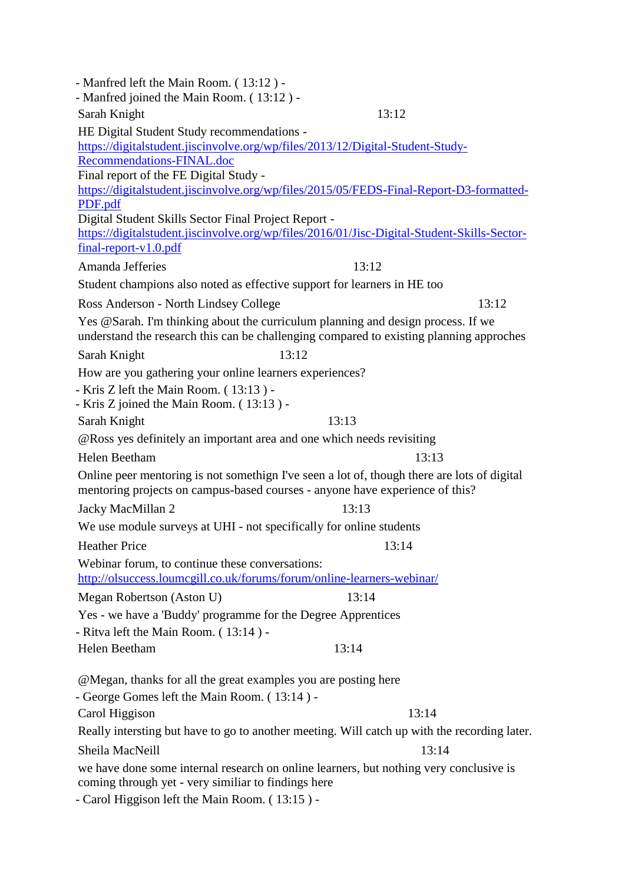| - Manfred left the Main Room. (13:12) -<br>- Manfred joined the Main Room. (13:12) -                                                                                                            |       |  |  |  |
|-------------------------------------------------------------------------------------------------------------------------------------------------------------------------------------------------|-------|--|--|--|
| Sarah Knight                                                                                                                                                                                    | 13:12 |  |  |  |
| HE Digital Student Study recommendations -                                                                                                                                                      |       |  |  |  |
| https://digitalstudent.jiscinvolve.org/wp/files/2013/12/Digital-Student-Study-                                                                                                                  |       |  |  |  |
| Recommendations-FINAL.doc                                                                                                                                                                       |       |  |  |  |
| Final report of the FE Digital Study -                                                                                                                                                          |       |  |  |  |
| https://digitalstudent.jiscinvolve.org/wp/files/2015/05/FEDS-Final-Report-D3-formatted-                                                                                                         |       |  |  |  |
| PDF.pdf                                                                                                                                                                                         |       |  |  |  |
| Digital Student Skills Sector Final Project Report -<br>https://digitalstudent.jiscinvolve.org/wp/files/2016/01/Jisc-Digital-Student-Skills-Sector-                                             |       |  |  |  |
| $final$ -report-v1.0.pdf                                                                                                                                                                        |       |  |  |  |
| Amanda Jefferies                                                                                                                                                                                | 13:12 |  |  |  |
| Student champions also noted as effective support for learners in HE too                                                                                                                        |       |  |  |  |
| Ross Anderson - North Lindsey College                                                                                                                                                           | 13:12 |  |  |  |
| Yes @Sarah. I'm thinking about the curriculum planning and design process. If we                                                                                                                |       |  |  |  |
| understand the research this can be challenging compared to existing planning approches                                                                                                         |       |  |  |  |
| 13:12<br>Sarah Knight                                                                                                                                                                           |       |  |  |  |
| How are you gathering your online learners experiences?                                                                                                                                         |       |  |  |  |
| - Kris Z left the Main Room. (13:13) -                                                                                                                                                          |       |  |  |  |
| - Kris Z joined the Main Room. (13:13) -                                                                                                                                                        |       |  |  |  |
| Sarah Knight                                                                                                                                                                                    | 13:13 |  |  |  |
| @Ross yes definitely an important area and one which needs revisiting                                                                                                                           |       |  |  |  |
| Helen Beetham                                                                                                                                                                                   | 13:13 |  |  |  |
| Online peer mentoring is not somethign I've seen a lot of, though there are lots of digital<br>mentoring projects on campus-based courses - anyone have experience of this?                     |       |  |  |  |
| Jacky MacMillan 2                                                                                                                                                                               | 13:13 |  |  |  |
| We use module surveys at UHI - not specifically for online students                                                                                                                             |       |  |  |  |
| <b>Heather Price</b>                                                                                                                                                                            | 13:14 |  |  |  |
| Webinar forum, to continue these conversations:                                                                                                                                                 |       |  |  |  |
| http://olsuccess.loumcgill.co.uk/forums/forum/online-learners-webinar/                                                                                                                          |       |  |  |  |
| Megan Robertson (Aston U)                                                                                                                                                                       | 13:14 |  |  |  |
| Yes - we have a 'Buddy' programme for the Degree Apprentices                                                                                                                                    |       |  |  |  |
| - Ritva left the Main Room. (13:14) -                                                                                                                                                           |       |  |  |  |
| Helen Beetham                                                                                                                                                                                   | 13:14 |  |  |  |
| @Megan, thanks for all the great examples you are posting here                                                                                                                                  |       |  |  |  |
| - George Gomes left the Main Room. (13:14) -                                                                                                                                                    |       |  |  |  |
| Carol Higgison                                                                                                                                                                                  | 13:14 |  |  |  |
| Really intersting but have to go to another meeting. Will catch up with the recording later.                                                                                                    |       |  |  |  |
| Sheila MacNeill                                                                                                                                                                                 | 13:14 |  |  |  |
| we have done some internal research on online learners, but nothing very conclusive is<br>coming through yet - very similiar to findings here<br>- Carol Higgison left the Main Room. (13:15) - |       |  |  |  |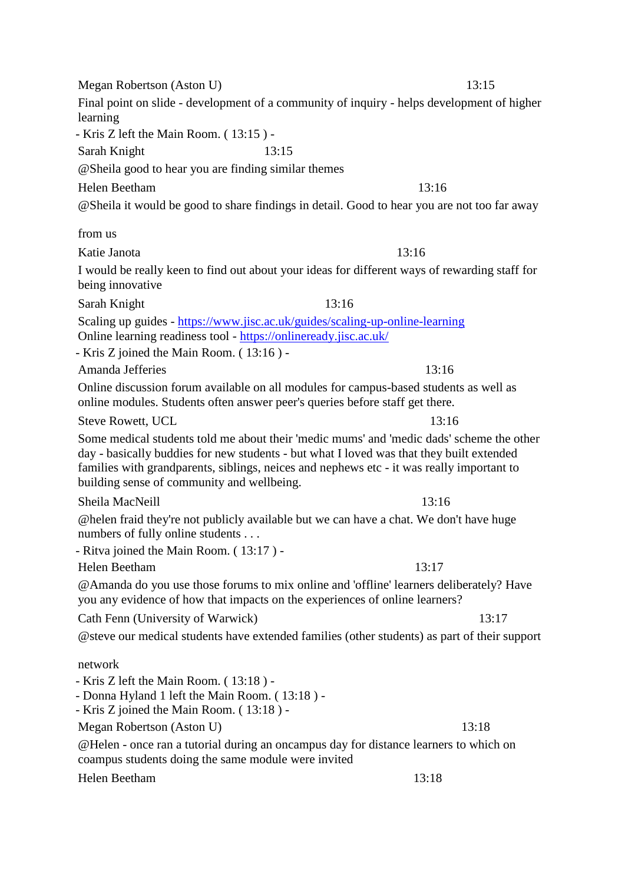Megan Robertson (Aston U) 13:15 Final point on slide - development of a community of inquiry - helps development of higher learning - Kris Z left the Main Room. ( 13:15 ) - Sarah Knight 13:15 @Sheila good to hear you are finding similar themes Helen Beetham 13:16 @Sheila it would be good to share findings in detail. Good to hear you are not too far away from us Katie Janota 13:16 I would be really keen to find out about your ideas for different ways of rewarding staff for being innovative Sarah Knight 13:16 Scaling up guides - <https://www.jisc.ac.uk/guides/scaling-up-online-learning> Online learning readiness tool - <https://onlineready.jisc.ac.uk/> - Kris Z joined the Main Room. ( 13:16 ) - Amanda Jefferies 13:16 Online discussion forum available on all modules for campus-based students as well as online modules. Students often answer peer's queries before staff get there. Steve Rowett, UCL 13:16 Some medical students told me about their 'medic mums' and 'medic dads' scheme the other day - basically buddies for new students - but what I loved was that they built extended families with grandparents, siblings, neices and nephews etc - it was really important to building sense of community and wellbeing. Sheila MacNeill 13:16 @helen fraid they're not publicly available but we can have a chat. We don't have huge numbers of fully online students . . . - Ritva joined the Main Room. ( 13:17 ) - Helen Beetham 13:17 @Amanda do you use those forums to mix online and 'offline' learners deliberately? Have you any evidence of how that impacts on the experiences of online learners? Cath Fenn (University of Warwick) 13:17 @steve our medical students have extended families (other students) as part of their support network - Kris Z left the Main Room. ( 13:18 ) - - Donna Hyland 1 left the Main Room. ( 13:18 ) - - Kris Z joined the Main Room. ( 13:18 ) - Megan Robertson (Aston U) 13:18 @Helen - once ran a tutorial during an oncampus day for distance learners to which on coampus students doing the same module were invited Helen Beetham 13:18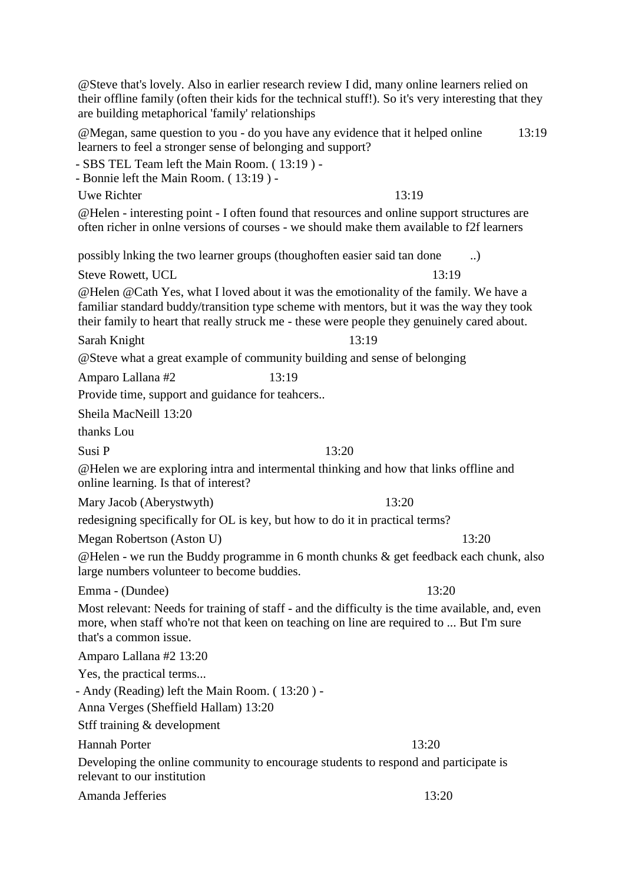Uwe Richter 13:19 @Helen - interesting point - I often found that resources and online support structures are often richer in onlne versions of courses - we should make them available to f2f learners possibly lnking the two learner groups (thoughoften easier said tan done ..) Steve Rowett, UCL 13:19 @Helen @Cath Yes, what I loved about it was the emotionality of the family. We have a familiar standard buddy/transition type scheme with mentors, but it was the way they took their family to heart that really struck me - these were people they genuinely cared about. Sarah Knight 13:19 @Steve what a great example of community building and sense of belonging Amparo Lallana #2 13:19 Provide time, support and guidance for teahcers.. Sheila MacNeill 13:20 thanks Lou Susi P  $13:20$ @Helen we are exploring intra and intermental thinking and how that links offline and online learning. Is that of interest? Mary Jacob (Aberystwyth) 13:20 redesigning specifically for OL is key, but how to do it in practical terms? Megan Robertson (Aston U) 13:20 large numbers volunteer to become buddies. Emma - (Dundee) 13:20 more, when staff who're not that keen on teaching on line are required to ... But I'm sure that's a common issue. Amparo Lallana #2 13:20 Yes, the practical terms... - Andy (Reading) left the Main Room. ( 13:20 ) - Anna Verges (Sheffield Hallam) 13:20 Stff training & development Hannah Porter 13:20 Developing the online community to encourage students to respond and participate is relevant to our institution Amanda Jefferies 13:20

@Steve that's lovely. Also in earlier research review I did, many online learners relied on their offline family (often their kids for the technical stuff!). So it's very interesting that they are building metaphorical 'family' relationships

@Megan, same question to you - do you have any evidence that it helped online learners to feel a stronger sense of belonging and support? 13:19

- SBS TEL Team left the Main Room. ( 13:19 ) -

- Bonnie left the Main Room. ( 13:19 ) -

@Helen - we run the Buddy programme in 6 month chunks & get feedback each chunk, also

Most relevant: Needs for training of staff - and the difficulty is the time available, and, even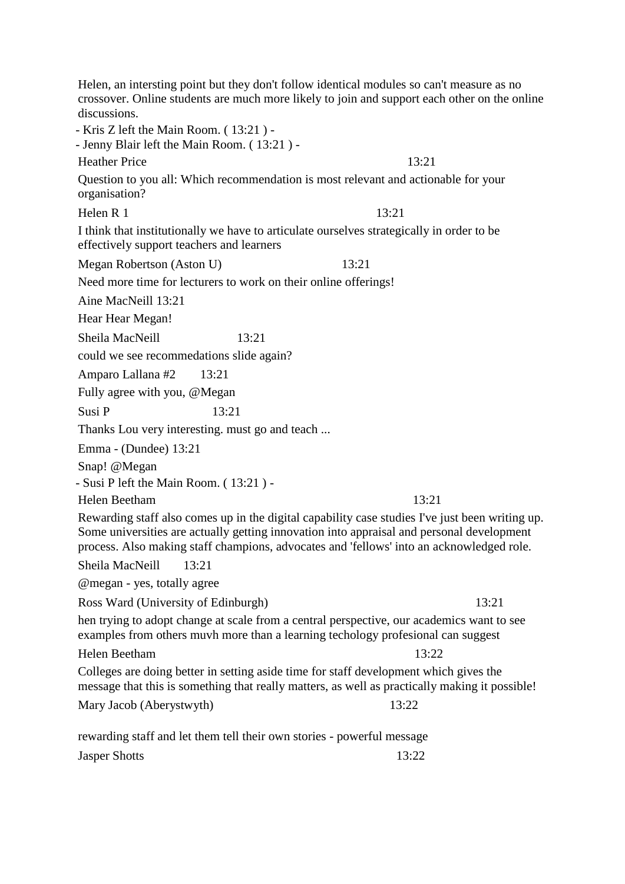Helen, an intersting point but they don't follow identical modules so can't measure as no crossover. Online students are much more likely to join and support each other on the online discussions. - Kris Z left the Main Room. ( 13:21 ) - - Jenny Blair left the Main Room. ( 13:21 ) - Heather Price 13:21 Question to you all: Which recommendation is most relevant and actionable for your organisation? Helen R 1  $13:21$ I think that institutionally we have to articulate ourselves strategically in order to be effectively support teachers and learners Megan Robertson (Aston U) 13:21 Need more time for lecturers to work on their online offerings! Aine MacNeill 13:21 Hear Hear Megan! Sheila MacNeill 13:21 could we see recommedations slide again? Amparo Lallana #2 13:21 Fully agree with you, @Megan Susi P 13:21 Thanks Lou very interesting. must go and teach ... Emma - (Dundee) 13:21 Snap! @Megan - Susi P left the Main Room. ( 13:21 ) - Helen Beetham 13:21 Rewarding staff also comes up in the digital capability case studies I've just been writing up. Some universities are actually getting innovation into appraisal and personal development process. Also making staff champions, advocates and 'fellows' into an acknowledged role. Sheila MacNeill 13:21 @megan - yes, totally agree Ross Ward (University of Edinburgh) 13:21 hen trying to adopt change at scale from a central perspective, our academics want to see examples from others muvh more than a learning techology profesional can suggest Helen Beetham 13:22 Colleges are doing better in setting aside time for staff development which gives the message that this is something that really matters, as well as practically making it possible! Mary Jacob (Aberystwyth) 13:22 rewarding staff and let them tell their own stories - powerful message

Jasper Shotts 13:22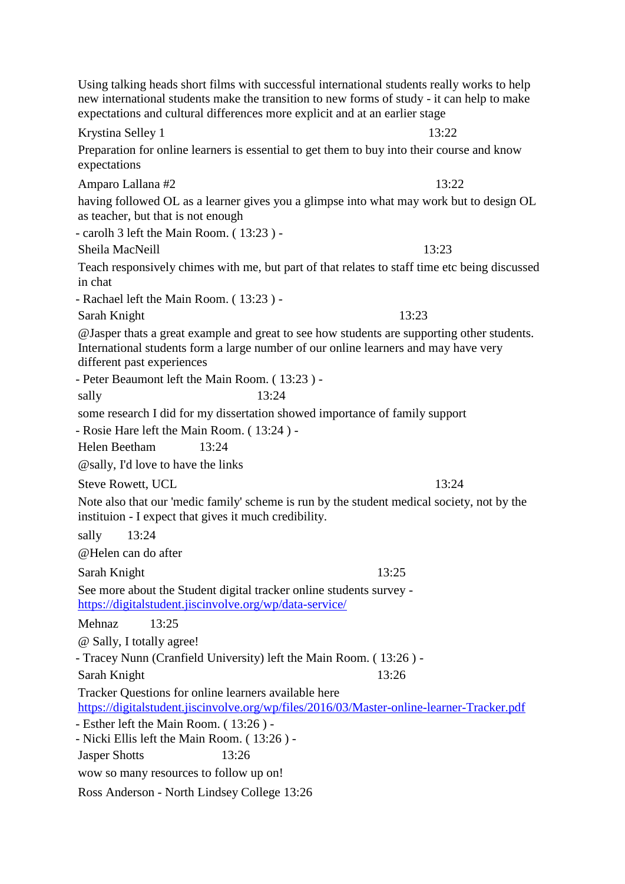|                                                                                                                                                     | Using talking heads short films with successful international students really works to help<br>new international students make the transition to new forms of study - it can help to make<br>expectations and cultural differences more explicit and at an earlier stage |       |
|-----------------------------------------------------------------------------------------------------------------------------------------------------|--------------------------------------------------------------------------------------------------------------------------------------------------------------------------------------------------------------------------------------------------------------------------|-------|
|                                                                                                                                                     | Krystina Selley 1                                                                                                                                                                                                                                                        | 13:22 |
|                                                                                                                                                     | Preparation for online learners is essential to get them to buy into their course and know<br>expectations                                                                                                                                                               |       |
|                                                                                                                                                     | Amparo Lallana #2                                                                                                                                                                                                                                                        | 13:22 |
| having followed OL as a learner gives you a glimpse into what may work but to design OL<br>as teacher, but that is not enough                       |                                                                                                                                                                                                                                                                          |       |
|                                                                                                                                                     | - carolh 3 left the Main Room. (13:23) -                                                                                                                                                                                                                                 |       |
|                                                                                                                                                     | Sheila MacNeill                                                                                                                                                                                                                                                          | 13:23 |
| Teach responsively chimes with me, but part of that relates to staff time etc being discussed<br>in chat                                            |                                                                                                                                                                                                                                                                          |       |
|                                                                                                                                                     | - Rachael left the Main Room. (13:23) -                                                                                                                                                                                                                                  |       |
|                                                                                                                                                     | Sarah Knight                                                                                                                                                                                                                                                             | 13:23 |
|                                                                                                                                                     | @Jasper thats a great example and great to see how students are supporting other students.<br>International students form a large number of our online learners and may have very<br>different past experiences                                                          |       |
|                                                                                                                                                     | - Peter Beaumont left the Main Room. (13:23) -                                                                                                                                                                                                                           |       |
|                                                                                                                                                     | 13:24<br>sally                                                                                                                                                                                                                                                           |       |
|                                                                                                                                                     | some research I did for my dissertation showed importance of family support                                                                                                                                                                                              |       |
|                                                                                                                                                     | - Rosie Hare left the Main Room. (13:24) -                                                                                                                                                                                                                               |       |
|                                                                                                                                                     | Helen Beetham<br>13:24                                                                                                                                                                                                                                                   |       |
|                                                                                                                                                     | @sally, I'd love to have the links                                                                                                                                                                                                                                       |       |
|                                                                                                                                                     | <b>Steve Rowett, UCL</b>                                                                                                                                                                                                                                                 | 13:24 |
| Note also that our 'medic family' scheme is run by the student medical society, not by the<br>instituion - I expect that gives it much credibility. |                                                                                                                                                                                                                                                                          |       |
|                                                                                                                                                     | 13:24<br>sally                                                                                                                                                                                                                                                           |       |
|                                                                                                                                                     | @Helen can do after                                                                                                                                                                                                                                                      |       |
|                                                                                                                                                     | Sarah Knight                                                                                                                                                                                                                                                             | 13:25 |
| See more about the Student digital tracker online students survey -<br>https://digitalstudent.jiscinvolve.org/wp/data-service/                      |                                                                                                                                                                                                                                                                          |       |
|                                                                                                                                                     | 13:25<br>Mehnaz                                                                                                                                                                                                                                                          |       |
|                                                                                                                                                     | @ Sally, I totally agree!                                                                                                                                                                                                                                                |       |
|                                                                                                                                                     | - Tracey Nunn (Cranfield University) left the Main Room. (13:26) -                                                                                                                                                                                                       |       |
|                                                                                                                                                     | Sarah Knight                                                                                                                                                                                                                                                             | 13:26 |
| Tracker Questions for online learners available here<br>https://digitalstudent.jiscinvolve.org/wp/files/2016/03/Master-online-learner-Tracker.pdf   |                                                                                                                                                                                                                                                                          |       |
|                                                                                                                                                     | - Esther left the Main Room. (13:26) -<br>- Nicki Ellis left the Main Room. (13:26) -                                                                                                                                                                                    |       |
|                                                                                                                                                     | 13:26<br><b>Jasper Shotts</b>                                                                                                                                                                                                                                            |       |
|                                                                                                                                                     | wow so many resources to follow up on!                                                                                                                                                                                                                                   |       |
|                                                                                                                                                     | Ross Anderson - North Lindsey College 13:26                                                                                                                                                                                                                              |       |
|                                                                                                                                                     |                                                                                                                                                                                                                                                                          |       |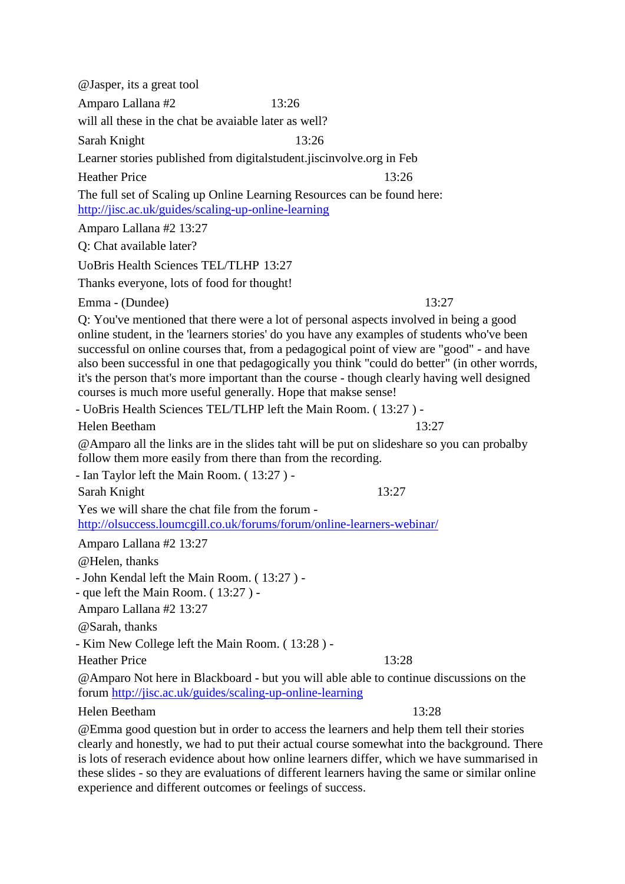@Jasper, its a great tool Amparo Lallana #2 13:26 will all these in the chat be avaiable later as well? Sarah Knight 13:26 Learner stories published from digitalstudent.jiscinvolve.org in Feb Heather Price 13:26 The full set of Scaling up Online Learning Resources can be found here: <http://jisc.ac.uk/guides/scaling-up-online-learning> Amparo Lallana #2 13:27 Q: Chat available later? UoBris Health Sciences TEL/TLHP 13:27 Thanks everyone, lots of food for thought! Emma - (Dundee) 13:27 Q: You've mentioned that there were a lot of personal aspects involved in being a good online student, in the 'learners stories' do you have any examples of students who've been successful on online courses that, from a pedagogical point of view are "good" - and have also been successful in one that pedagogically you think "could do better" (in other worrds, it's the person that's more important than the course - though clearly having well designed courses is much more useful generally. Hope that makse sense! - UoBris Health Sciences TEL/TLHP left the Main Room. ( 13:27 ) - Helen Beetham 13:27 @Amparo all the links are in the slides taht will be put on slideshare so you can probalby follow them more easily from there than from the recording. - Ian Taylor left the Main Room. ( 13:27 ) - Sarah Knight 13:27 Yes we will share the chat file from the forum <http://olsuccess.loumcgill.co.uk/forums/forum/online-learners-webinar/> Amparo Lallana #2 13:27 @Helen, thanks - John Kendal left the Main Room. ( 13:27 ) - - que left the Main Room. ( 13:27 ) - Amparo Lallana #2 13:27 @Sarah, thanks - Kim New College left the Main Room. ( 13:28 ) - Heather Price 13:28 @Amparo Not here in Blackboard - but you will able able to continue discussions on the forum<http://jisc.ac.uk/guides/scaling-up-online-learning> Helen Beetham 13:28

@Emma good question but in order to access the learners and help them tell their stories clearly and honestly, we had to put their actual course somewhat into the background. There is lots of reserach evidence about how online learners differ, which we have summarised in these slides - so they are evaluations of different learners having the same or similar online experience and different outcomes or feelings of success.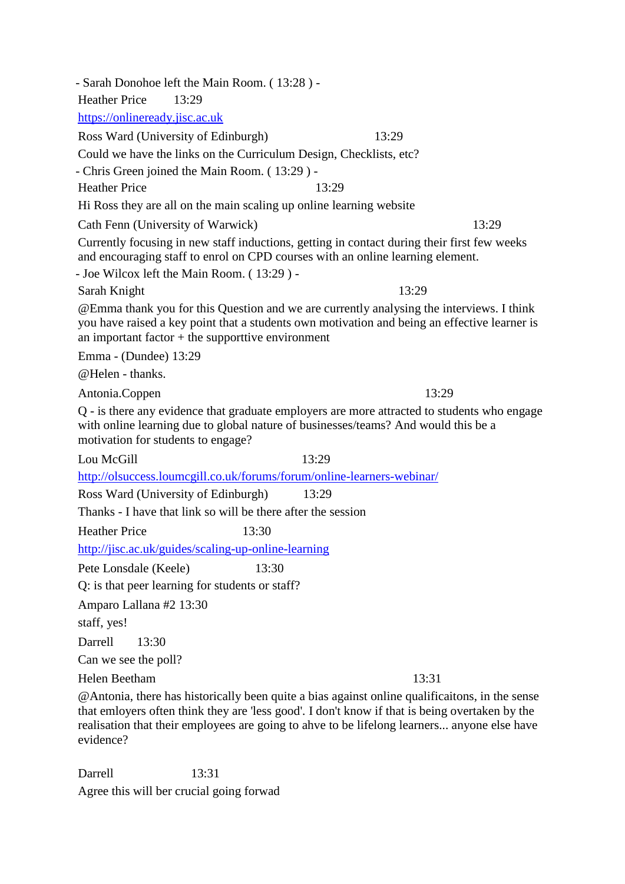- Sarah Donohoe left the Main Room. ( 13:28 ) - Heather Price 13:29 [https://onlineready.jisc.ac.uk](https://onlineready.jisc.ac.uk/) Ross Ward (University of Edinburgh) 13:29 Could we have the links on the Curriculum Design, Checklists, etc? - Chris Green joined the Main Room. ( 13:29 ) - Heather Price 13:29 Hi Ross they are all on the main scaling up online learning website Cath Fenn (University of Warwick) 13:29 Currently focusing in new staff inductions, getting in contact during their first few weeks and encouraging staff to enrol on CPD courses with an online learning element. - Joe Wilcox left the Main Room. ( 13:29 ) - Sarah Knight 13:29 @Emma thank you for this Question and we are currently analysing the interviews. I think you have raised a key point that a students own motivation and being an effective learner is an important factor  $+$  the supporttive environment Emma - (Dundee) 13:29 @Helen - thanks. Antonia.Coppen 13:29 Q - is there any evidence that graduate employers are more attracted to students who engage with online learning due to global nature of businesses/teams? And would this be a motivation for students to engage? Lou McGill 13:29 <http://olsuccess.loumcgill.co.uk/forums/forum/online-learners-webinar/> Ross Ward (University of Edinburgh) 13:29 Thanks - I have that link so will be there after the session Heather Price 13:30 <http://jisc.ac.uk/guides/scaling-up-online-learning> Pete Lonsdale (Keele) 13:30 Q: is that peer learning for students or staff? Amparo Lallana #2 13:30 staff, yes! Darrell 13:30 Can we see the poll? Helen Beetham 13:31 @Antonia, there has historically been quite a bias against online qualificaitons, in the sense that emloyers often think they are 'less good'. I don't know if that is being overtaken by the realisation that their employees are going to ahve to be lifelong learners... anyone else have evidence?

Darrell 13:31 Agree this will ber crucial going forwad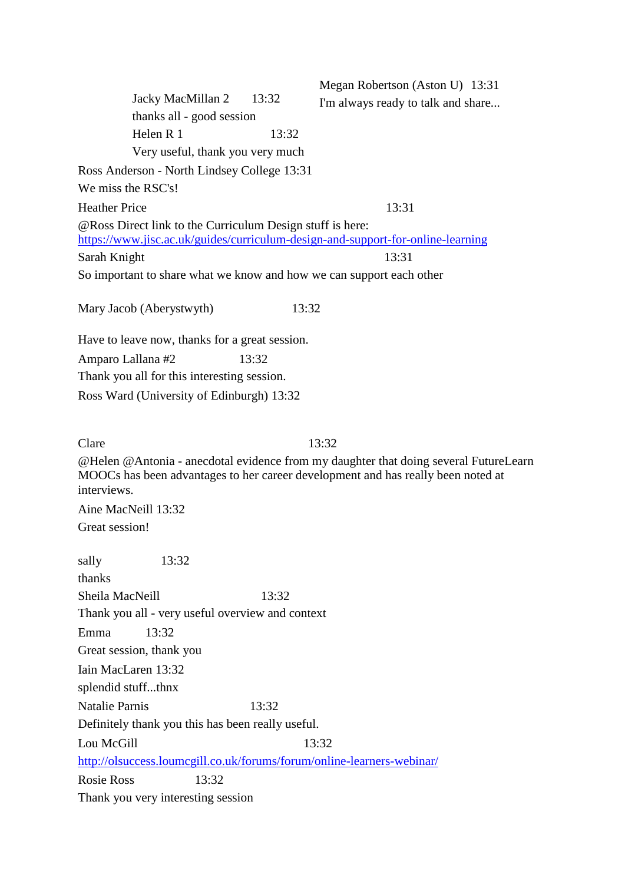Megan Robertson (Aston U) 13:31 I'm always ready to talk and share... Ross Anderson - North Lindsey College 13:31 We miss the RSC's! Heather Price 13:31 @Ross Direct link to the Curriculum Design stuff is here: <https://www.jisc.ac.uk/guides/curriculum-design-and-support-for-online-learning> Sarah Knight 13:31 So important to share what we know and how we can support each other Mary Jacob (Aberystwyth) 13:32 Have to leave now, thanks for a great session. Amparo Lallana #2 13:32 Thank you all for this interesting session. Ross Ward (University of Edinburgh) 13:32 Clare  $13:32$ @Helen @Antonia - anecdotal evidence from my daughter that doing several FutureLearn MOOCs has been advantages to her career development and has really been noted at interviews. Aine MacNeill 13:32 Great session! sally 13:32 thanks Sheila MacNeill 13:32 Thank you all - very useful overview and context Emma 13:32 Great session, thank you Iain MacLaren 13:32 splendid stuff...thnx Natalie Parnis 13:32 Definitely thank you this has been really useful. Lou McGill 13:32 <http://olsuccess.loumcgill.co.uk/forums/forum/online-learners-webinar/> Rosie Ross 13:32 Thank you very interesting session Jacky MacMillan 2 13:32 thanks all - good session Helen R 1  $13:32$ Very useful, thank you very much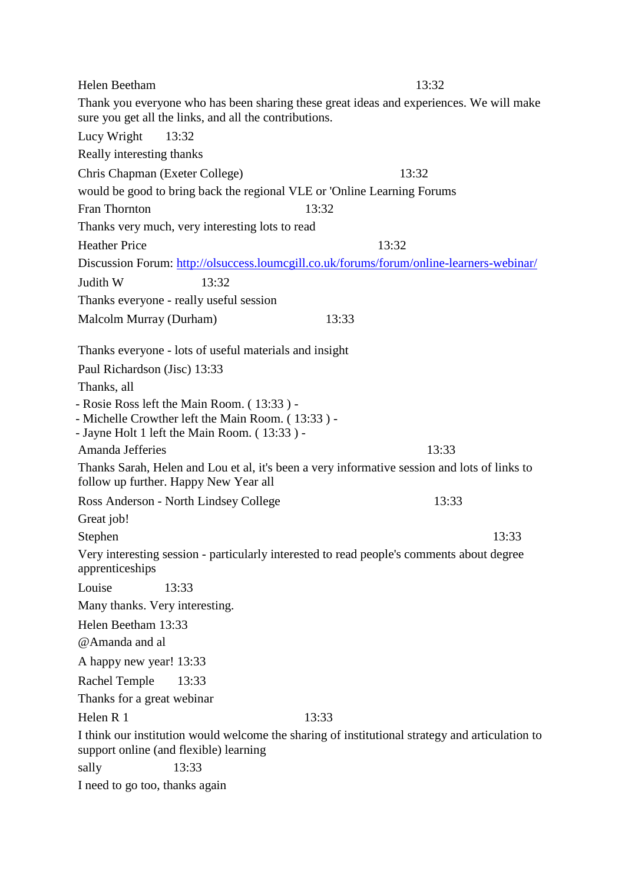| Helen Beetham                                                                                                | 13:32 |  |  |
|--------------------------------------------------------------------------------------------------------------|-------|--|--|
| Thank you everyone who has been sharing these great ideas and experiences. We will make                      |       |  |  |
| sure you get all the links, and all the contributions.                                                       |       |  |  |
| Lucy Wright<br>13:32                                                                                         |       |  |  |
| Really interesting thanks                                                                                    |       |  |  |
| Chris Chapman (Exeter College)                                                                               | 13:32 |  |  |
| would be good to bring back the regional VLE or 'Online Learning Forums                                      |       |  |  |
| Fran Thornton<br>13:32                                                                                       |       |  |  |
| Thanks very much, very interesting lots to read                                                              |       |  |  |
| <b>Heather Price</b>                                                                                         | 13:32 |  |  |
| Discussion Forum: http://olsuccess.loumcgill.co.uk/forums/forum/online-learners-webinar/                     |       |  |  |
| Judith W<br>13:32                                                                                            |       |  |  |
| Thanks everyone - really useful session                                                                      |       |  |  |
| Malcolm Murray (Durham)                                                                                      | 13:33 |  |  |
| Thanks everyone - lots of useful materials and insight                                                       |       |  |  |
| Paul Richardson (Jisc) 13:33                                                                                 |       |  |  |
| Thanks, all                                                                                                  |       |  |  |
| - Rosie Ross left the Main Room. (13:33) -                                                                   |       |  |  |
| - Michelle Crowther left the Main Room. (13:33) -                                                            |       |  |  |
| - Jayne Holt 1 left the Main Room. (13:33) -<br>Amanda Jefferies                                             | 13:33 |  |  |
| Thanks Sarah, Helen and Lou et al, it's been a very informative session and lots of links to                 |       |  |  |
| follow up further. Happy New Year all                                                                        |       |  |  |
| Ross Anderson - North Lindsey College                                                                        | 13:33 |  |  |
| Great job!                                                                                                   |       |  |  |
| Stephen                                                                                                      | 13:33 |  |  |
| Very interesting session - particularly interested to read people's comments about degree<br>apprenticeships |       |  |  |
| Louise<br>13:33                                                                                              |       |  |  |
| Many thanks. Very interesting.                                                                               |       |  |  |
| Helen Beetham 13:33                                                                                          |       |  |  |
| @Amanda and al                                                                                               |       |  |  |
| A happy new year! 13:33                                                                                      |       |  |  |
| Rachel Temple<br>13:33                                                                                       |       |  |  |
| Thanks for a great webinar                                                                                   |       |  |  |
| Helen R 1<br>13:33                                                                                           |       |  |  |
| I think our institution would welcome the sharing of institutional strategy and articulation to              |       |  |  |
| support online (and flexible) learning                                                                       |       |  |  |
| 13:33<br>sally                                                                                               |       |  |  |
| I need to go too, thanks again                                                                               |       |  |  |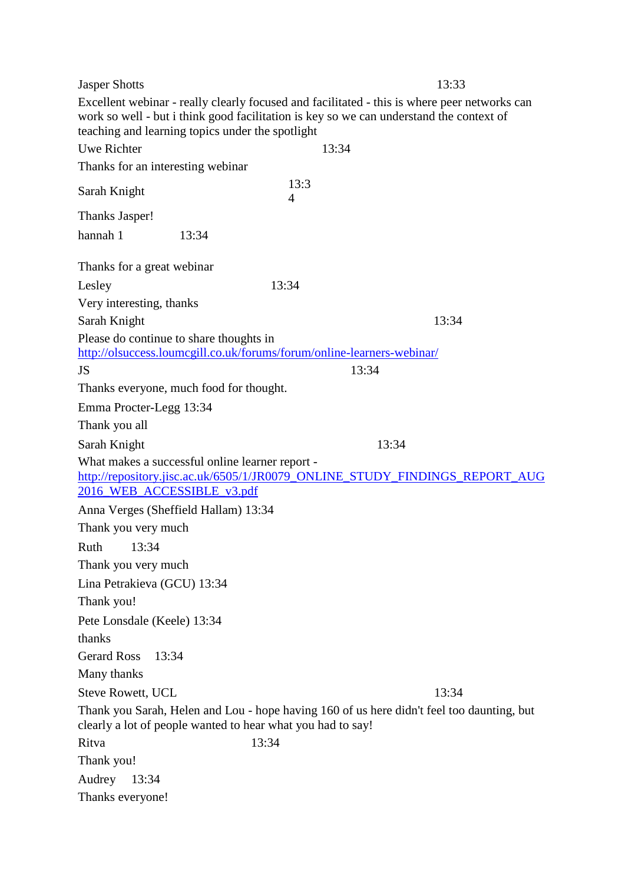Jasper Shotts 13:33 Excellent webinar - really clearly focused and facilitated - this is where peer networks can work so well - but i think good facilitation is key so we can understand the context of teaching and learning topics under the spotlight Uwe Richter 13:34 Thanks for an interesting webinar Sarah Knight 13:3 4 Thanks Jasper! hannah 1 13:34 Thanks for a great webinar Lesley 13:34 Very interesting, thanks Sarah Knight 13:34 Please do continue to share thoughts in <http://olsuccess.loumcgill.co.uk/forums/forum/online-learners-webinar/> JS 13:34 Thanks everyone, much food for thought. Emma Procter-Legg 13:34 Thank you all Sarah Knight 13:34 What makes a successful online learner report [http://repository.jisc.ac.uk/6505/1/JR0079\\_ONLINE\\_STUDY\\_FINDINGS\\_REPORT\\_AUG](http://repository.jisc.ac.uk/6505/1/JR0079_ONLINE_STUDY_FINDINGS_REPORT_AUG2016_WEB_ACCESSIBLE_v3.pdf) 2016 WEB ACCESSIBLE v3.pdf Anna Verges (Sheffield Hallam) 13:34 Thank you very much Ruth 13:34 Thank you very much Lina Petrakieva (GCU) 13:34 Thank you! Pete Lonsdale (Keele) 13:34 thanks Gerard Ross 13:34 Many thanks Steve Rowett, UCL 13:34 Thank you Sarah, Helen and Lou - hope having 160 of us here didn't feel too daunting, but clearly a lot of people wanted to hear what you had to say! Ritva 13:34 Thank you! Audrey 13:34 Thanks everyone!